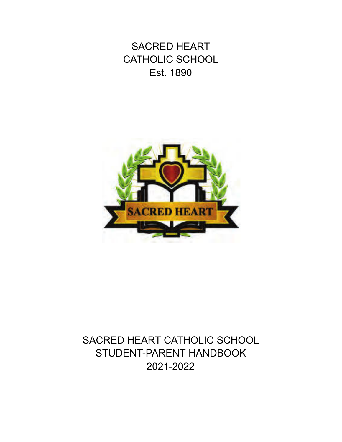SACRED HEART CATHOLIC SCHOOL Est. 1890



# SACRED HEART CATHOLIC SCHOOL STUDENT-PARENT HANDBOOK 2021-2022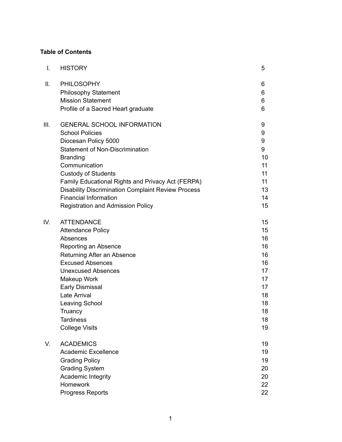## **Table of Contents**

| I.   | <b>HISTORY</b>                                                                                                                                                                                                                                                                                                                                                                                | 5                                                                                |
|------|-----------------------------------------------------------------------------------------------------------------------------------------------------------------------------------------------------------------------------------------------------------------------------------------------------------------------------------------------------------------------------------------------|----------------------------------------------------------------------------------|
| Ш.   | <b>PHILOSOPHY</b><br><b>Philosophy Statement</b><br><b>Mission Statement</b><br>Profile of a Sacred Heart graduate                                                                                                                                                                                                                                                                            | 6<br>6<br>6<br>6                                                                 |
| III. | <b>GENERAL SCHOOL INFORMATION</b><br><b>School Policies</b><br>Diocesan Policy 5000<br><b>Statement of Non-Discrimination</b><br><b>Branding</b><br>Communication<br><b>Custody of Students</b><br>Family Educational Rights and Privacy Act (FERPA)<br><b>Disability Discrimination Complaint Review Process</b><br><b>Financial Information</b><br><b>Registration and Admission Policy</b> | 9<br>9<br>9<br>9<br>10<br>11<br>11<br>11<br>13<br>14<br>15                       |
| IV.  | <b>ATTENDANCE</b><br><b>Attendance Policy</b><br>Absences<br>Reporting an Absence<br>Returning After an Absence<br><b>Excused Absences</b><br><b>Unexcused Absences</b><br>Makeup Work<br><b>Early Dismissal</b><br>Late Arrival<br>Leaving School<br>Truancy<br><b>Tardiness</b><br><b>College Visits</b>                                                                                    | 15<br>15<br>16<br>16<br>16<br>16<br>17<br>17<br>17<br>18<br>18<br>18<br>18<br>19 |
| V.   | <b>ACADEMICS</b><br><b>Academic Excellence</b><br><b>Grading Policy</b><br><b>Grading System</b><br>Academic Integrity<br><b>Homework</b><br><b>Progress Reports</b>                                                                                                                                                                                                                          | 19<br>19<br>19<br>20<br>20<br>22<br>22                                           |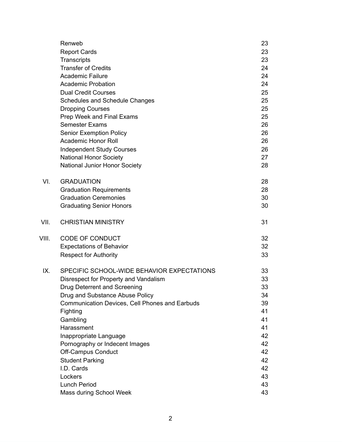|       | Renweb                                                | 23       |
|-------|-------------------------------------------------------|----------|
|       | <b>Report Cards</b>                                   | 23<br>23 |
|       | Transcripts<br><b>Transfer of Credits</b>             | 24       |
|       | <b>Academic Failure</b>                               | 24       |
|       | <b>Academic Probation</b>                             | 24       |
|       | <b>Dual Credit Courses</b>                            | 25       |
|       | <b>Schedules and Schedule Changes</b>                 | 25       |
|       | <b>Dropping Courses</b>                               | 25       |
|       | Prep Week and Final Exams                             | 25       |
|       | <b>Semester Exams</b>                                 | 26       |
|       | <b>Senior Exemption Policy</b>                        | 26       |
|       | <b>Academic Honor Roll</b>                            | 26       |
|       | <b>Independent Study Courses</b>                      | 26       |
|       | <b>National Honor Society</b>                         | 27       |
|       | <b>National Junior Honor Society</b>                  | 28       |
| VI.   | <b>GRADUATION</b>                                     | 28       |
|       | <b>Graduation Requirements</b>                        | 28       |
|       | <b>Graduation Ceremonies</b>                          | 30       |
|       | <b>Graduating Senior Honors</b>                       | 30       |
| VII.  | <b>CHRISTIAN MINISTRY</b>                             | 31       |
| VIII. | <b>CODE OF CONDUCT</b>                                | 32       |
|       | <b>Expectations of Behavior</b>                       | 32       |
|       | <b>Respect for Authority</b>                          | 33       |
| IX.   | SPECIFIC SCHOOL-WIDE BEHAVIOR EXPECTATIONS            | 33       |
|       | Disrespect for Property and Vandalism                 | 33       |
|       | Drug Deterrent and Screening                          | 33       |
|       | Drug and Substance Abuse Policy                       | 34       |
|       | <b>Communication Devices, Cell Phones and Earbuds</b> | 39       |
|       | Fighting                                              | 41       |
|       | Gambling                                              | 41       |
|       | Harassment                                            | 41       |
|       | Inappropriate Language                                | 42       |
|       | Pornography or Indecent Images<br>Off-Campus Conduct  | 42<br>42 |
|       |                                                       |          |
|       | <b>Student Parking</b><br>I.D. Cards                  | 42<br>42 |
|       | Lockers                                               | 43       |
|       | <b>Lunch Period</b>                                   | 43       |
|       | Mass during School Week                               | 43       |
|       |                                                       |          |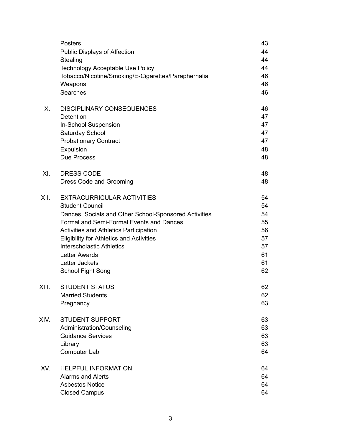|       | <b>Posters</b>                                        | 43 |
|-------|-------------------------------------------------------|----|
|       | <b>Public Displays of Affection</b>                   | 44 |
|       | Stealing                                              | 44 |
|       | <b>Technology Acceptable Use Policy</b>               | 44 |
|       | Tobacco/Nicotine/Smoking/E-Cigarettes/Paraphernalia   | 46 |
|       | Weapons                                               | 46 |
|       | <b>Searches</b>                                       | 46 |
| Х.    | <b>DISCIPLINARY CONSEQUENCES</b>                      | 46 |
|       | <b>Detention</b>                                      | 47 |
|       | <b>In-School Suspension</b>                           | 47 |
|       | Saturday School                                       | 47 |
|       | <b>Probationary Contract</b>                          | 47 |
|       | Expulsion                                             | 48 |
|       | Due Process                                           | 48 |
| XI.   | <b>DRESS CODE</b>                                     | 48 |
|       | <b>Dress Code and Grooming</b>                        | 48 |
| XII.  | <b>EXTRACURRICULAR ACTIVITIES</b>                     | 54 |
|       | <b>Student Council</b>                                | 54 |
|       | Dances, Socials and Other School-Sponsored Activities | 54 |
|       | <b>Formal and Semi-Formal Events and Dances</b>       | 55 |
|       | <b>Activities and Athletics Participation</b>         | 56 |
|       | <b>Eligibility for Athletics and Activities</b>       | 57 |
|       | <b>Interscholastic Athletics</b>                      | 57 |
|       | Letter Awards                                         | 61 |
|       | Letter Jackets                                        | 61 |
|       | <b>School Fight Song</b>                              | 62 |
| XIII. | <b>STUDENT STATUS</b>                                 | 62 |
|       | <b>Married Students</b>                               | 62 |
|       | Pregnancy                                             | 63 |
| XIV.  | <b>STUDENT SUPPORT</b>                                | 63 |
|       | Administration/Counseling                             | 63 |
|       | <b>Guidance Services</b>                              | 63 |
|       | Library                                               | 63 |
|       | <b>Computer Lab</b>                                   | 64 |
| XV.   | <b>HELPFUL INFORMATION</b>                            | 64 |
|       | <b>Alarms and Alerts</b>                              | 64 |
|       | <b>Asbestos Notice</b>                                | 64 |
|       | <b>Closed Campus</b>                                  | 64 |
|       |                                                       |    |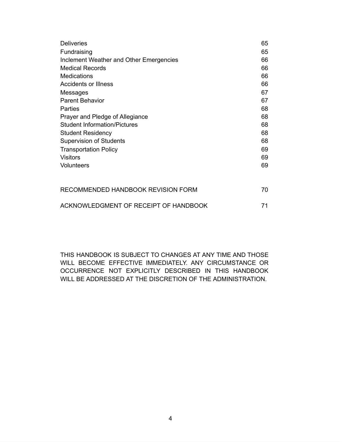| <b>Deliveries</b>                       | 65 |
|-----------------------------------------|----|
| Fundraising                             | 65 |
| Inclement Weather and Other Emergencies | 66 |
| <b>Medical Records</b>                  | 66 |
| <b>Medications</b>                      | 66 |
| <b>Accidents or Illness</b>             | 66 |
| Messages                                | 67 |
| <b>Parent Behavior</b>                  | 67 |
| Parties                                 | 68 |
| Prayer and Pledge of Allegiance         | 68 |
| <b>Student Information/Pictures</b>     | 68 |
| <b>Student Residency</b>                | 68 |
| <b>Supervision of Students</b>          | 68 |
| <b>Transportation Policy</b>            | 69 |
| <b>Visitors</b>                         | 69 |
| <b>Volunteers</b>                       | 69 |
|                                         |    |
| RECOMMENDED HANDBOOK REVISION FORM      | 70 |
| ACKNOWLEDGMENT OF RECEIPT OF HANDBOOK   | 71 |

THIS HANDBOOK IS SUBJECT TO CHANGES AT ANY TIME AND THOSE WILL BECOME EFFECTIVE IMMEDIATELY. ANY CIRCUMSTANCE OR OCCURRENCE NOT EXPLICITLY DESCRIBED IN THIS HANDBOOK WILL BE ADDRESSED AT THE DISCRETION OF THE ADMINISTRATION.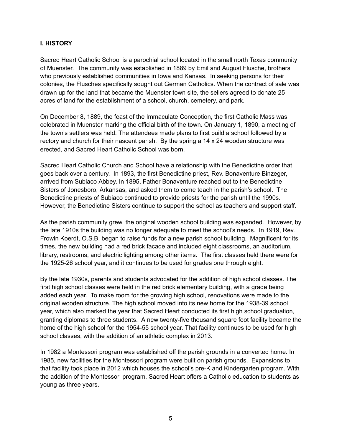#### **I. HISTORY**

Sacred Heart Catholic School is a parochial school located in the small north Texas community of Muenster. The community was established in 1889 by Emil and August Flusche, brothers who previously established communities in Iowa and Kansas. In seeking persons for their colonies, the Flusches specifically sought out German Catholics. When the contract of sale was drawn up for the land that became the Muenster town site, the sellers agreed to donate 25 acres of land for the establishment of a school, church, cemetery, and park.

On December 8, 1889, the feast of the Immaculate Conception, the first Catholic Mass was celebrated in Muenster marking the official birth of the town. On January 1, 1890, a meeting of the town's settlers was held. The attendees made plans to first build a school followed by a rectory and church for their nascent parish. By the spring a 14 x 24 wooden structure was erected, and Sacred Heart Catholic School was born.

Sacred Heart Catholic Church and School have a relationship with the Benedictine order that goes back over a century. In 1893, the first Benedictine priest, Rev. Bonaventure Binzeger, arrived from Subiaco Abbey. In 1895, Father Bonaventure reached out to the Benedictine Sisters of Jonesboro, Arkansas, and asked them to come teach in the parish's school. The Benedictine priests of Subiaco continued to provide priests for the parish until the 1990s. However, the Benedictine Sisters continue to support the school as teachers and support staff.

As the parish community grew, the original wooden school building was expanded. However, by the late 1910s the building was no longer adequate to meet the school's needs. In 1919, Rev. Frowin Koerdt, O.S.B, began to raise funds for a new parish school building. Magnificent for its times, the new building had a red brick facade and included eight classrooms, an auditorium, library, restrooms, and electric lighting among other items. The first classes held there were for the 1925-26 school year, and it continues to be used for grades one through eight.

By the late 1930s, parents and students advocated for the addition of high school classes. The first high school classes were held in the red brick elementary building, with a grade being added each year. To make room for the growing high school, renovations were made to the original wooden structure. The high school moved into its new home for the 1938-39 school year, which also marked the year that Sacred Heart conducted its first high school graduation, granting diplomas to three students. A new twenty-five thousand square foot facility became the home of the high school for the 1954-55 school year. That facility continues to be used for high school classes, with the addition of an athletic complex in 2013.

In 1982 a Montessori program was established off the parish grounds in a converted home. In 1985, new facilities for the Montessori program were built on parish grounds. Expansions to that facility took place in 2012 which houses the school's pre-K and Kindergarten program. With the addition of the Montessori program, Sacred Heart offers a Catholic education to students as young as three years.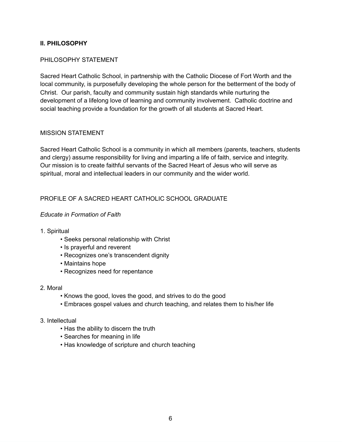## **II. PHILOSOPHY**

#### PHILOSOPHY STATEMENT

Sacred Heart Catholic School, in partnership with the Catholic Diocese of Fort Worth and the local community, is purposefully developing the whole person for the betterment of the body of Christ. Our parish, faculty and community sustain high standards while nurturing the development of a lifelong love of learning and community involvement. Catholic doctrine and social teaching provide a foundation for the growth of all students at Sacred Heart.

#### MISSION STATEMENT

Sacred Heart Catholic School is a community in which all members (parents, teachers, students and clergy) assume responsibility for living and imparting a life of faith, service and integrity. Our mission is to create faithful servants of the Sacred Heart of Jesus who will serve as spiritual, moral and intellectual leaders in our community and the wider world.

## PROFILE OF A SACRED HEART CATHOLIC SCHOOL GRADUATE

#### *Educate in Formation of Faith*

- 1. Spiritual
	- Seeks personal relationship with Christ
	- Is prayerful and reverent
	- Recognizes one's transcendent dignity
	- Maintains hope
	- Recognizes need for repentance

#### 2. Moral

- Knows the good, loves the good, and strives to do the good
- Embraces gospel values and church teaching, and relates them to his/her life
- 3. Intellectual
	- Has the ability to discern the truth
	- Searches for meaning in life
	- Has knowledge of scripture and church teaching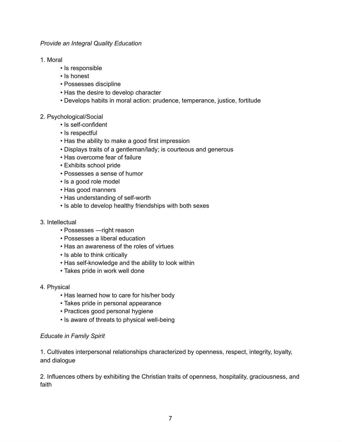*Provide an Integral Quality Education*

- 1. Moral
	- Is responsible
	- Is honest
	- Possesses discipline
	- Has the desire to develop character
	- Develops habits in moral action: prudence, temperance, justice, fortitude
- 2. Psychological/Social
	- Is self-confident
	- Is respectful
	- Has the ability to make a good first impression
	- Displays traits of a gentleman/lady; is courteous and generous
	- Has overcome fear of failure
	- Exhibits school pride
	- Possesses a sense of humor
	- Is a good role model
	- Has good manners
	- Has understanding of self-worth
	- Is able to develop healthy friendships with both sexes
- 3. Intellectual
	- Possesses ―right reason
	- Possesses a liberal education
	- Has an awareness of the roles of virtues
	- Is able to think critically
	- Has self-knowledge and the ability to look within
	- Takes pride in work well done
- 4. Physical
	- Has learned how to care for his/her body
	- Takes pride in personal appearance
	- Practices good personal hygiene
	- Is aware of threats to physical well-being

#### *Educate in Family Spirit*

1. Cultivates interpersonal relationships characterized by openness, respect, integrity, loyalty, and dialogue

2. Influences others by exhibiting the Christian traits of openness, hospitality, graciousness, and faith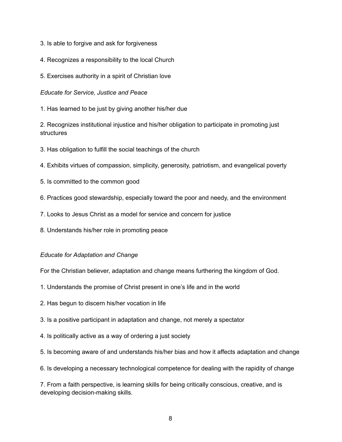- 3. Is able to forgive and ask for forgiveness
- 4. Recognizes a responsibility to the local Church
- 5. Exercises authority in a spirit of Christian love

*Educate for Service, Justice and Peace*

1. Has learned to be just by giving another his/her due

2. Recognizes institutional injustice and his/her obligation to participate in promoting just structures

3. Has obligation to fulfill the social teachings of the church

4. Exhibits virtues of compassion, simplicity, generosity, patriotism, and evangelical poverty

- 5. Is committed to the common good
- 6. Practices good stewardship, especially toward the poor and needy, and the environment
- 7. Looks to Jesus Christ as a model for service and concern for justice
- 8. Understands his/her role in promoting peace

#### *Educate for Adaptation and Change*

For the Christian believer, adaptation and change means furthering the kingdom of God.

- 1. Understands the promise of Christ present in one's life and in the world
- 2. Has begun to discern his/her vocation in life
- 3. Is a positive participant in adaptation and change, not merely a spectator
- 4. Is politically active as a way of ordering a just society
- 5. Is becoming aware of and understands his/her bias and how it affects adaptation and change
- 6. Is developing a necessary technological competence for dealing with the rapidity of change

7. From a faith perspective, is learning skills for being critically conscious, creative, and is developing decision-making skills.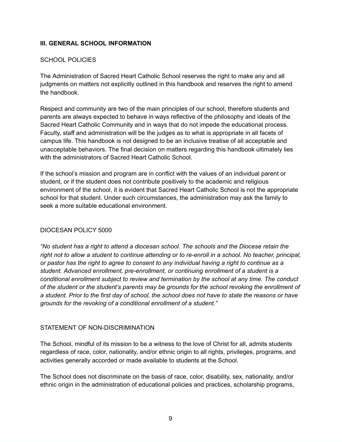## **III. GENERAL SCHOOL INFORMATION**

#### SCHOOL POLICIES

The Administration of Sacred Heart Catholic School reserves the right to make any and all judgments on matters not explicitly outlined in this handbook and reserves the right to amend the handbook.

Respect and community are two of the main principles of our school, therefore students and parents are always expected to behave in ways reflective of the philosophy and ideals of the Sacred Heart Catholic Community and in ways that do not impede the educational process. Faculty, staff and administration will be the judges as to what is appropriate in all facets of campus life. This handbook is not designed to be an inclusive treatise of all acceptable and unacceptable behaviors. The final decision on matters regarding this handbook ultimately lies with the administrators of Sacred Heart Catholic School.

If the school's mission and program are in conflict with the values of an individual parent or student, or if the student does not contribute positively to the academic and religious environment of the school, it is evident that Sacred Heart Catholic School is not the appropriate school for that student. Under such circumstances, the administration may ask the family to seek a more suitable educational environment.

#### DIOCESAN POLICY 5000

*"No student has a right to attend a diocesan school. The schools and the Diocese retain the* right not to allow a student to continue attending or to re-enroll in a school. No teacher, principal, or pastor has the right to agree to consent to any individual having a right to continue as a *student. Advanced enrollment, pre-enrollment, or continuing enrollment of a student is a conditional enrollment subject to review and termination by the school at any time. The conduct of the student or the student's parents may be grounds for the school revoking the enrollment of* a student. Prior to the first day of school, the school does not have to state the reasons or have *grounds for the revoking of a conditional enrollment of a student."*

#### STATEMENT OF NON-DISCRIMINATION

The School, mindful of its mission to be a witness to the love of Christ for all, admits students regardless of race, color, nationality, and/or ethnic origin to all rights, privileges, programs, and activities generally accorded or made available to students at the School.

The School does not discriminate on the basis of race, color, disability, sex, nationality, and/or ethnic origin in the administration of educational policies and practices, scholarship programs,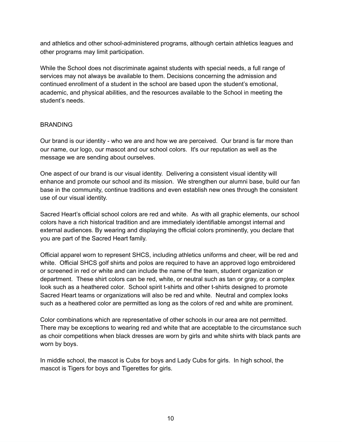and athletics and other school-administered programs, although certain athletics leagues and other programs may limit participation.

While the School does not discriminate against students with special needs, a full range of services may not always be available to them. Decisions concerning the admission and continued enrollment of a student in the school are based upon the student's emotional, academic, and physical abilities, and the resources available to the School in meeting the student's needs.

## BRANDING

Our brand is our identity - who we are and how we are perceived. Our brand is far more than our name, our logo, our mascot and our school colors. It's our reputation as well as the message we are sending about ourselves.

One aspect of our brand is our visual identity. Delivering a consistent visual identity will enhance and promote our school and its mission. We strengthen our alumni base, build our fan base in the community, continue traditions and even establish new ones through the consistent use of our visual identity.

Sacred Heart's official school colors are red and white. As with all graphic elements, our school colors have a rich historical tradition and are immediately identifiable amongst internal and external audiences. By wearing and displaying the official colors prominently, you declare that you are part of the Sacred Heart family.

Official apparel worn to represent SHCS, including athletics uniforms and cheer, will be red and white. Official SHCS golf shirts and polos are required to have an approved logo embroidered or screened in red or white and can include the name of the team, student organization or department. These shirt colors can be red, white, or neutral such as tan or gray, or a complex look such as a heathered color. School spirit t-shirts and other t-shirts designed to promote Sacred Heart teams or organizations will also be red and white. Neutral and complex looks such as a heathered color are permitted as long as the colors of red and white are prominent.

Color combinations which are representative of other schools in our area are not permitted. There may be exceptions to wearing red and white that are acceptable to the circumstance such as choir competitions when black dresses are worn by girls and white shirts with black pants are worn by boys.

In middle school, the mascot is Cubs for boys and Lady Cubs for girls. In high school, the mascot is Tigers for boys and Tigerettes for girls.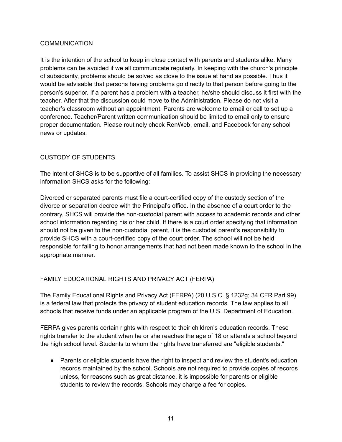### COMMUNICATION

It is the intention of the school to keep in close contact with parents and students alike. Many problems can be avoided if we all communicate regularly. In keeping with the church's principle of subsidiarity, problems should be solved as close to the issue at hand as possible. Thus it would be advisable that persons having problems go directly to that person before going to the person's superior. If a parent has a problem with a teacher, he/she should discuss it first with the teacher. After that the discussion could move to the Administration. Please do not visit a teacher's classroom without an appointment. Parents are welcome to email or call to set up a conference. Teacher/Parent written communication should be limited to email only to ensure proper documentation. Please routinely check RenWeb, email, and Facebook for any school news or updates.

## CUSTODY OF STUDENTS

The intent of SHCS is to be supportive of all families. To assist SHCS in providing the necessary information SHCS asks for the following:

Divorced or separated parents must file a court-certified copy of the custody section of the divorce or separation decree with the Principal's office. In the absence of a court order to the contrary, SHCS will provide the non-custodial parent with access to academic records and other school information regarding his or her child. If there is a court order specifying that information should not be given to the non-custodial parent, it is the custodial parent's responsibility to provide SHCS with a court-certified copy of the court order. The school will not be held responsible for failing to honor arrangements that had not been made known to the school in the appropriate manner.

## FAMILY EDUCATIONAL RIGHTS AND PRIVACY ACT (FERPA)

The Family Educational Rights and Privacy Act (FERPA) (20 U.S.C. § 1232g; 34 CFR Part 99) is a federal law that protects the privacy of student education records. The law applies to all schools that receive funds under an applicable program of the U.S. Department of Education.

FERPA gives parents certain rights with respect to their children's education records. These rights transfer to the student when he or she reaches the age of 18 or attends a school beyond the high school level. Students to whom the rights have transferred are "eligible students."

● Parents or eligible students have the right to inspect and review the student's education records maintained by the school. Schools are not required to provide copies of records unless, for reasons such as great distance, it is impossible for parents or eligible students to review the records. Schools may charge a fee for copies.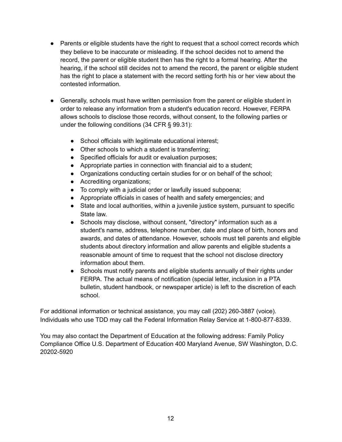- Parents or eligible students have the right to request that a school correct records which they believe to be inaccurate or misleading. If the school decides not to amend the record, the parent or eligible student then has the right to a formal hearing. After the hearing, if the school still decides not to amend the record, the parent or eligible student has the right to place a statement with the record setting forth his or her view about the contested information.
- Generally, schools must have written permission from the parent or eligible student in order to release any information from a student's education record. However, FERPA allows schools to disclose those records, without consent, to the following parties or under the following conditions (34 CFR § 99.31):
	- School officials with legitimate educational interest;
	- Other schools to which a student is transferring;
	- Specified officials for audit or evaluation purposes:
	- Appropriate parties in connection with financial aid to a student;
	- Organizations conducting certain studies for or on behalf of the school;
	- Accrediting organizations;
	- To comply with a judicial order or lawfully issued subpoena;
	- Appropriate officials in cases of health and safety emergencies; and
	- State and local authorities, within a juvenile justice system, pursuant to specific State law.
	- Schools may disclose, without consent, "directory" information such as a student's name, address, telephone number, date and place of birth, honors and awards, and dates of attendance. However, schools must tell parents and eligible students about directory information and allow parents and eligible students a reasonable amount of time to request that the school not disclose directory information about them.
	- Schools must notify parents and eligible students annually of their rights under FERPA. The actual means of notification (special letter, inclusion in a PTA bulletin, student handbook, or newspaper article) is left to the discretion of each school.

For additional information or technical assistance, you may call (202) 260-3887 (voice). Individuals who use TDD may call the Federal Information Relay Service at 1-800-877-8339.

You may also contact the Department of Education at the following address: Family Policy Compliance Office U.S. Department of Education 400 Maryland Avenue, SW Washington, D.C. 20202-5920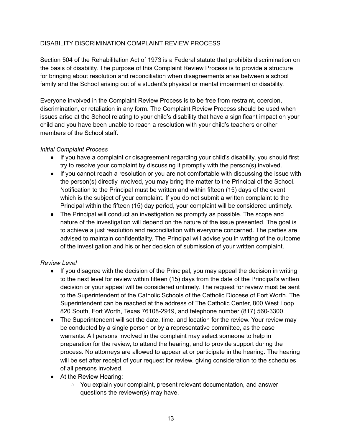## DISABILITY DISCRIMINATION COMPLAINT REVIEW PROCESS

Section 504 of the Rehabilitation Act of 1973 is a Federal statute that prohibits discrimination on the basis of disability. The purpose of this Complaint Review Process is to provide a structure for bringing about resolution and reconciliation when disagreements arise between a school family and the School arising out of a student's physical or mental impairment or disability.

Everyone involved in the Complaint Review Process is to be free from restraint, coercion, discrimination, or retaliation in any form. The Complaint Review Process should be used when issues arise at the School relating to your child's disability that have a significant impact on your child and you have been unable to reach a resolution with your child's teachers or other members of the School staff.

## *Initial Complaint Process*

- If you have a complaint or disagreement regarding your child's disability, you should first try to resolve your complaint by discussing it promptly with the person(s) involved.
- If you cannot reach a resolution or you are not comfortable with discussing the issue with the person(s) directly involved, you may bring the matter to the Principal of the School. Notification to the Principal must be written and within fifteen (15) days of the event which is the subject of your complaint. If you do not submit a written complaint to the Principal within the fifteen (15) day period, your complaint will be considered untimely.
- The Principal will conduct an investigation as promptly as possible. The scope and nature of the investigation will depend on the nature of the issue presented. The goal is to achieve a just resolution and reconciliation with everyone concerned. The parties are advised to maintain confidentiality. The Principal will advise you in writing of the outcome of the investigation and his or her decision of submission of your written complaint.

## *Review Level*

- If you disagree with the decision of the Principal, you may appeal the decision in writing to the next level for review within fifteen (15) days from the date of the Principal's written decision or your appeal will be considered untimely. The request for review must be sent to the Superintendent of the Catholic Schools of the Catholic Diocese of Fort Worth. The Superintendent can be reached at the address of The Catholic Center, 800 West Loop 820 South, Fort Worth, Texas 76108-2919, and telephone number (817) 560-3300.
- The Superintendent will set the date, time, and location for the review. Your review may be conducted by a single person or by a representative committee, as the case warrants. All persons involved in the complaint may select someone to help in preparation for the review, to attend the hearing, and to provide support during the process. No attorneys are allowed to appear at or participate in the hearing. The hearing will be set after receipt of your request for review, giving consideration to the schedules of all persons involved.
- At the Review Hearing:
	- You explain your complaint, present relevant documentation, and answer questions the reviewer(s) may have.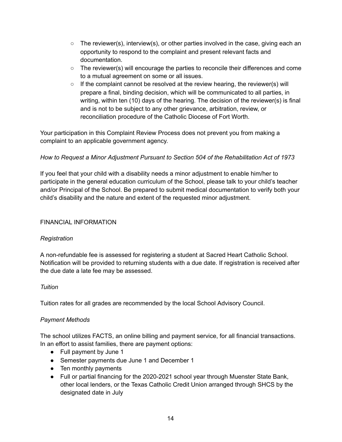- $\circ$  The reviewer(s), interview(s), or other parties involved in the case, giving each an opportunity to respond to the complaint and present relevant facts and documentation.
- The reviewer(s) will encourage the parties to reconcile their differences and come to a mutual agreement on some or all issues.
- $\circ$  If the complaint cannot be resolved at the review hearing, the reviewer(s) will prepare a final, binding decision, which will be communicated to all parties, in writing, within ten (10) days of the hearing. The decision of the reviewer(s) is final and is not to be subject to any other grievance, arbitration, review, or reconciliation procedure of the Catholic Diocese of Fort Worth.

Your participation in this Complaint Review Process does not prevent you from making a complaint to an applicable government agency.

## *How to Request a Minor Adjustment Pursuant to Section 504 of the Rehabilitation Act of 1973*

If you feel that your child with a disability needs a minor adjustment to enable him/her to participate in the general education curriculum of the School, please talk to your child's teacher and/or Principal of the School. Be prepared to submit medical documentation to verify both your child's disability and the nature and extent of the requested minor adjustment.

## FINANCIAL INFORMATION

## *Registration*

A non-refundable fee is assessed for registering a student at Sacred Heart Catholic School. Notification will be provided to returning students with a due date. If registration is received after the due date a late fee may be assessed.

#### *Tuition*

Tuition rates for all grades are recommended by the local School Advisory Council.

## *Payment Methods*

The school utilizes FACTS, an online billing and payment service, for all financial transactions. In an effort to assist families, there are payment options:

- Full payment by June 1
- Semester payments due June 1 and December 1
- Ten monthly payments
- Full or partial financing for the 2020-2021 school year through Muenster State Bank, other local lenders, or the Texas Catholic Credit Union arranged through SHCS by the designated date in July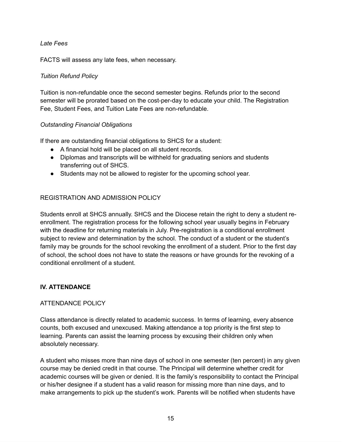## *Late Fees*

FACTS will assess any late fees, when necessary.

## *Tuition Refund Policy*

Tuition is non-refundable once the second semester begins. Refunds prior to the second semester will be prorated based on the cost-per-day to educate your child. The Registration Fee, Student Fees, and Tuition Late Fees are non-refundable.

#### *Outstanding Financial Obligations*

If there are outstanding financial obligations to SHCS for a student:

- A financial hold will be placed on all student records.
- Diplomas and transcripts will be withheld for graduating seniors and students transferring out of SHCS.
- Students may not be allowed to register for the upcoming school year.

## REGISTRATION AND ADMISSION POLICY

Students enroll at SHCS annually. SHCS and the Diocese retain the right to deny a student reenrollment. The registration process for the following school year usually begins in February with the deadline for returning materials in July. Pre-registration is a conditional enrollment subject to review and determination by the school. The conduct of a student or the student's family may be grounds for the school revoking the enrollment of a student. Prior to the first day of school, the school does not have to state the reasons or have grounds for the revoking of a conditional enrollment of a student.

## **IV. ATTENDANCE**

#### ATTENDANCE POLICY

Class attendance is directly related to academic success. In terms of learning, every absence counts, both excused and unexcused. Making attendance a top priority is the first step to learning. Parents can assist the learning process by excusing their children only when absolutely necessary.

A student who misses more than nine days of school in one semester (ten percent) in any given course may be denied credit in that course. The Principal will determine whether credit for academic courses will be given or denied. It is the family's responsibility to contact the Principal or his/her designee if a student has a valid reason for missing more than nine days, and to make arrangements to pick up the student's work. Parents will be notified when students have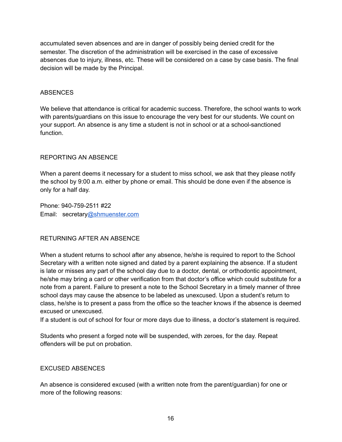accumulated seven absences and are in danger of possibly being denied credit for the semester. The discretion of the administration will be exercised in the case of excessive absences due to injury, illness, etc. These will be considered on a case by case basis. The final decision will be made by the Principal.

#### **ABSENCES**

We believe that attendance is critical for academic success. Therefore, the school wants to work with parents/guardians on this issue to encourage the very best for our students. We count on your support. An absence is any time a student is not in school or at a school-sanctioned function.

## REPORTING AN ABSENCE

When a parent deems it necessary for a student to miss school, we ask that they please notify the school by 9:00 a.m. either by phone or email. This should be done even if the absence is only for a half day.

Phone: 940-759-2511 #22 Email: secretary[@shmuenster.com](mailto:attendance@shmuenster.com)

## RETURNING AFTER AN ABSENCE

When a student returns to school after any absence, he/she is required to report to the School Secretary with a written note signed and dated by a parent explaining the absence. If a student is late or misses any part of the school day due to a doctor, dental, or orthodontic appointment, he/she may bring a card or other verification from that doctor's office which could substitute for a note from a parent. Failure to present a note to the School Secretary in a timely manner of three school days may cause the absence to be labeled as unexcused. Upon a student's return to class, he/she is to present a pass from the office so the teacher knows if the absence is deemed excused or unexcused.

If a student is out of school for four or more days due to illness, a doctor's statement is required.

Students who present a forged note will be suspended, with zeroes, for the day. Repeat offenders will be put on probation.

#### EXCUSED ABSENCES

An absence is considered excused (with a written note from the parent/guardian) for one or more of the following reasons: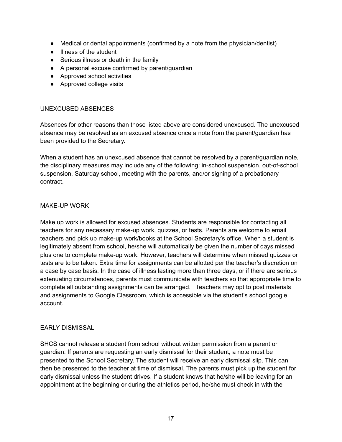- Medical or dental appointments (confirmed by a note from the physician/dentist)
- Illness of the student
- Serious illness or death in the family
- A personal excuse confirmed by parent/guardian
- Approved school activities
- Approved college visits

### UNEXCUSED ABSENCES

Absences for other reasons than those listed above are considered unexcused. The unexcused absence may be resolved as an excused absence once a note from the parent/guardian has been provided to the Secretary.

When a student has an unexcused absence that cannot be resolved by a parent/guardian note, the disciplinary measures may include any of the following: in-school suspension, out-of-school suspension, Saturday school, meeting with the parents, and/or signing of a probationary contract.

#### MAKE-UP WORK

Make up work is allowed for excused absences. Students are responsible for contacting all teachers for any necessary make-up work, quizzes, or tests. Parents are welcome to email teachers and pick up make-up work/books at the School Secretary's office. When a student is legitimately absent from school, he/she will automatically be given the number of days missed plus one to complete make-up work. However, teachers will determine when missed quizzes or tests are to be taken. Extra time for assignments can be allotted per the teacher's discretion on a case by case basis. In the case of illness lasting more than three days, or if there are serious extenuating circumstances, parents must communicate with teachers so that appropriate time to complete all outstanding assignments can be arranged. Teachers may opt to post materials and assignments to Google Classroom, which is accessible via the student's school google account.

#### EARLY DISMISSAL

SHCS cannot release a student from school without written permission from a parent or guardian. If parents are requesting an early dismissal for their student, a note must be presented to the School Secretary. The student will receive an early dismissal slip. This can then be presented to the teacher at time of dismissal. The parents must pick up the student for early dismissal unless the student drives. If a student knows that he/she will be leaving for an appointment at the beginning or during the athletics period, he/she must check in with the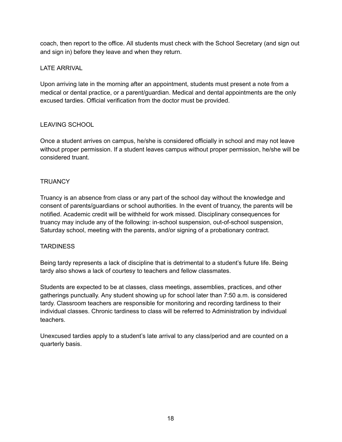coach, then report to the office. All students must check with the School Secretary (and sign out and sign in) before they leave and when they return.

## LATE ARRIVAL

Upon arriving late in the morning after an appointment, students must present a note from a medical or dental practice, or a parent/guardian. Medical and dental appointments are the only excused tardies. Official verification from the doctor must be provided.

## LEAVING SCHOOL

Once a student arrives on campus, he/she is considered officially in school and may not leave without proper permission. If a student leaves campus without proper permission, he/she will be considered truant.

## **TRUANCY**

Truancy is an absence from class or any part of the school day without the knowledge and consent of parents/guardians or school authorities. In the event of truancy, the parents will be notified. Academic credit will be withheld for work missed. Disciplinary consequences for truancy may include any of the following: in-school suspension, out-of-school suspension, Saturday school, meeting with the parents, and/or signing of a probationary contract.

## **TARDINESS**

Being tardy represents a lack of discipline that is detrimental to a student's future life. Being tardy also shows a lack of courtesy to teachers and fellow classmates.

Students are expected to be at classes, class meetings, assemblies, practices, and other gatherings punctually. Any student showing up for school later than 7:50 a.m. is considered tardy. Classroom teachers are responsible for monitoring and recording tardiness to their individual classes. Chronic tardiness to class will be referred to Administration by individual teachers.

Unexcused tardies apply to a student's late arrival to any class/period and are counted on a quarterly basis.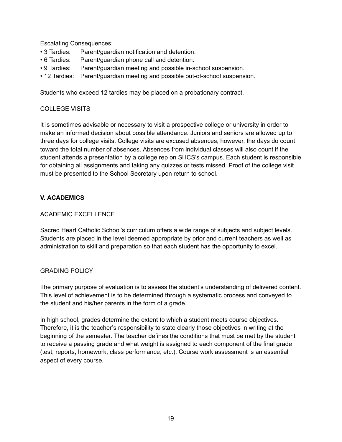Escalating Consequences:

- 3 Tardies: Parent/guardian notification and detention.
- 6 Tardies: Parent/guardian phone call and detention.
- 9 Tardies: Parent/guardian meeting and possible in-school suspension.
- 12 Tardies: Parent/guardian meeting and possible out-of-school suspension.

Students who exceed 12 tardies may be placed on a probationary contract.

## COLLEGE VISITS

It is sometimes advisable or necessary to visit a prospective college or university in order to make an informed decision about possible attendance. Juniors and seniors are allowed up to three days for college visits. College visits are excused absences, however, the days do count toward the total number of absences. Absences from individual classes will also count if the student attends a presentation by a college rep on SHCS's campus. Each student is responsible for obtaining all assignments and taking any quizzes or tests missed. Proof of the college visit must be presented to the School Secretary upon return to school.

## **V. ACADEMICS**

## ACADEMIC EXCELLENCE

Sacred Heart Catholic School's curriculum offers a wide range of subjects and subject levels. Students are placed in the level deemed appropriate by prior and current teachers as well as administration to skill and preparation so that each student has the opportunity to excel.

#### GRADING POLICY

The primary purpose of evaluation is to assess the student's understanding of delivered content. This level of achievement is to be determined through a systematic process and conveyed to the student and his/her parents in the form of a grade.

In high school, grades determine the extent to which a student meets course objectives. Therefore, it is the teacher's responsibility to state clearly those objectives in writing at the beginning of the semester. The teacher defines the conditions that must be met by the student to receive a passing grade and what weight is assigned to each component of the final grade (test, reports, homework, class performance, etc.). Course work assessment is an essential aspect of every course.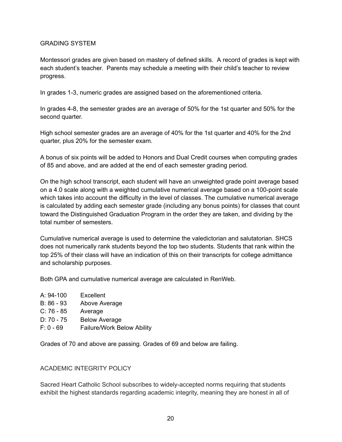#### GRADING SYSTEM

Montessori grades are given based on mastery of defined skills. A record of grades is kept with each student's teacher. Parents may schedule a meeting with their child's teacher to review progress.

In grades 1-3, numeric grades are assigned based on the aforementioned criteria.

In grades 4-8, the semester grades are an average of 50% for the 1st quarter and 50% for the second quarter.

High school semester grades are an average of 40% for the 1st quarter and 40% for the 2nd quarter, plus 20% for the semester exam.

A bonus of six points will be added to Honors and Dual Credit courses when computing grades of 85 and above, and are added at the end of each semester grading period.

On the high school transcript, each student will have an unweighted grade point average based on a 4.0 scale along with a weighted cumulative numerical average based on a 100-point scale which takes into account the difficulty in the level of classes. The cumulative numerical average is calculated by adding each semester grade (including any bonus points) for classes that count toward the Distinguished Graduation Program in the order they are taken, and dividing by the total number of semesters.

Cumulative numerical average is used to determine the valedictorian and salutatorian. SHCS does not numerically rank students beyond the top two students. Students that rank within the top 25% of their class will have an indication of this on their transcripts for college admittance and scholarship purposes.

Both GPA and cumulative numerical average are calculated in RenWeb.

- A: 94-100 Excellent
- B: 86 93 Above Average
- C: 76 85 Average
- D: 70 75 Below Average
- F: 0 69 Failure/Work Below Ability

Grades of 70 and above are passing. Grades of 69 and below are failing.

#### ACADEMIC INTEGRITY POLICY

Sacred Heart Catholic School subscribes to widely-accepted norms requiring that students exhibit the highest standards regarding academic integrity, meaning they are honest in all of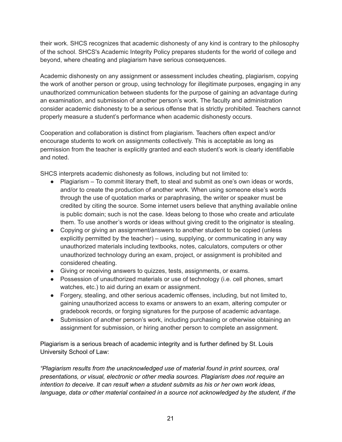their work. SHCS recognizes that academic dishonesty of any kind is contrary to the philosophy of the school. SHCS's Academic Integrity Policy prepares students for the world of college and beyond, where cheating and plagiarism have serious consequences.

Academic dishonesty on any assignment or assessment includes cheating, plagiarism, copying the work of another person or group, using technology for illegitimate purposes, engaging in any unauthorized communication between students for the purpose of gaining an advantage during an examination, and submission of another person's work. The faculty and administration consider academic dishonesty to be a serious offense that is strictly prohibited. Teachers cannot properly measure a student's performance when academic dishonesty occurs.

Cooperation and collaboration is distinct from plagiarism. Teachers often expect and/or encourage students to work on assignments collectively. This is acceptable as long as permission from the teacher is explicitly granted and each student's work is clearly identifiable and noted.

SHCS interprets academic dishonesty as follows, including but not limited to:

- Plagiarism To commit literary theft, to steal and submit as one's own ideas or words, and/or to create the production of another work. When using someone else's words through the use of quotation marks or paraphrasing, the writer or speaker must be credited by citing the source. Some internet users believe that anything available online is public domain; such is not the case. Ideas belong to those who create and articulate them. To use another's words or ideas without giving credit to the originator is stealing.
- Copying or giving an assignment/answers to another student to be copied (unless explicitly permitted by the teacher) – using, supplying, or communicating in any way unauthorized materials including textbooks, notes, calculators, computers or other unauthorized technology during an exam, project, or assignment is prohibited and considered cheating.
- Giving or receiving answers to quizzes, tests, assignments, or exams.
- Possession of unauthorized materials or use of technology (i.e. cell phones, smart watches, etc.) to aid during an exam or assignment.
- Forgery, stealing, and other serious academic offenses, including, but not limited to, gaining unauthorized access to exams or answers to an exam, altering computer or gradebook records, or forging signatures for the purpose of academic advantage.
- Submission of another person's work, including purchasing or otherwise obtaining an assignment for submission, or hiring another person to complete an assignment.

Plagiarism is a serious breach of academic integrity and is further defined by St. Louis University School of Law:

*"Plagiarism results from the unacknowledged use of material found in print sources, oral presentations, or visual, electronic or other media sources. Plagiarism does not require an intention to deceive. It can result when a student submits as his or her own work ideas, language, data or other material contained in a source not acknowledged by the student, if the*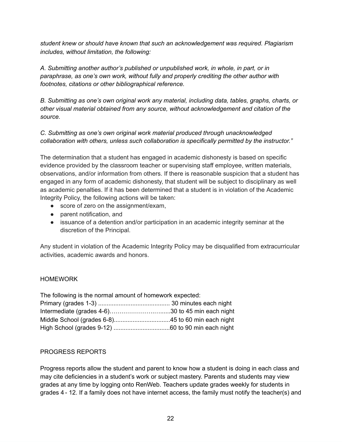*student knew or should have known that such an acknowledgement was required. Plagiarism includes, without limitation, the following:*

*A. Submitting another author's published or unpublished work, in whole, in part, or in paraphrase, as one's own work, without fully and properly crediting the other author with footnotes, citations or other bibliographical reference.*

*B. Submitting as one's own original work any material, including data, tables, graphs, charts, or other visual material obtained from any source, without acknowledgement and citation of the source.*

*C. Submitting as one's own original work material produced through unacknowledged collaboration with others, unless such collaboration is specifically permitted by the instructor."*

The determination that a student has engaged in academic dishonesty is based on specific evidence provided by the classroom teacher or supervising staff employee, written materials, observations, and/or information from others. If there is reasonable suspicion that a student has engaged in any form of academic dishonesty, that student will be subject to disciplinary as well as academic penalties. If it has been determined that a student is in violation of the Academic Integrity Policy, the following actions will be taken:

- score of zero on the assignment/exam,
- parent notification, and
- issuance of a detention and/or participation in an academic integrity seminar at the discretion of the Principal.

Any student in violation of the Academic Integrity Policy may be disqualified from extracurricular activities, academic awards and honors.

## **HOMEWORK**

| The following is the normal amount of homework expected: |  |  |  |
|----------------------------------------------------------|--|--|--|
|                                                          |  |  |  |
|                                                          |  |  |  |
|                                                          |  |  |  |
|                                                          |  |  |  |

## PROGRESS REPORTS

Progress reports allow the student and parent to know how a student is doing in each class and may cite deficiencies in a student's work or subject mastery. Parents and students may view grades at any time by logging onto RenWeb. Teachers update grades weekly for students in grades 4 - 12. If a family does not have internet access, the family must notify the teacher(s) and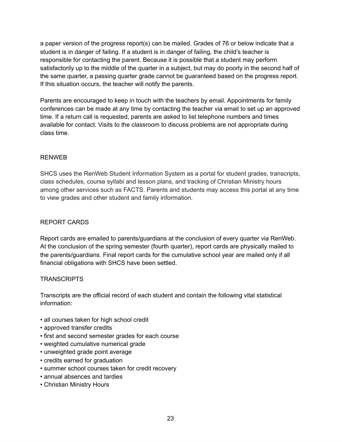a paper version of the progress report(s) can be mailed. Grades of 76 or below indicate that a student is in danger of failing. If a student is in danger of failing, the child's teacher is responsible for contacting the parent. Because it is possible that a student may perform satisfactorily up to the middle of the quarter in a subject, but may do poorly in the second half of the same quarter, a passing quarter grade cannot be guaranteed based on the progress report. If this situation occurs, the teacher will notify the parents.

Parents are encouraged to keep in touch with the teachers by email. Appointments for family conferences can be made at any time by contacting the teacher via email to set up an approved time. If a return call is requested, parents are asked to list telephone numbers and times available for contact. Visits to the classroom to discuss problems are not appropriate during class time.

## RENWEB

SHCS uses the RenWeb Student Information System as a portal for student grades, transcripts, class schedules, course syllabi and lesson plans, and tracking of Christian Ministry hours among other services such as FACTS. Parents and students may access this portal at any time to view grades and other student and family information.

## REPORT CARDS

Report cards are emailed to parents/guardians at the conclusion of every quarter via RenWeb. At the conclusion of the spring semester (fourth quarter), report cards are physically mailed to the parents/guardians. Final report cards for the cumulative school year are mailed only if all financial obligations with SHCS have been settled.

## **TRANSCRIPTS**

Transcripts are the official record of each student and contain the following vital statistical information:

- all courses taken for high school credit
- approved transfer credits
- first and second semester grades for each course
- weighted cumulative numerical grade
- unweighted grade point average
- credits earned for graduation
- summer school courses taken for credit recovery
- annual absences and tardies
- Christian Ministry Hours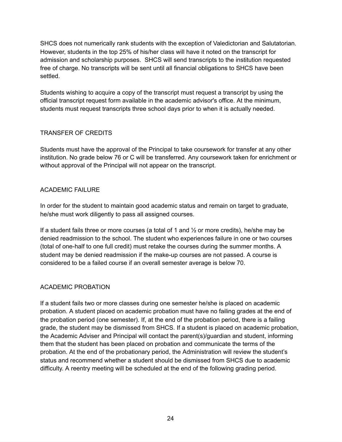SHCS does not numerically rank students with the exception of Valedictorian and Salutatorian. However, students in the top 25% of his/her class will have it noted on the transcript for admission and scholarship purposes. SHCS will send transcripts to the institution requested free of charge. No transcripts will be sent until all financial obligations to SHCS have been settled.

Students wishing to acquire a copy of the transcript must request a transcript by using the official transcript request form available in the academic advisor's office. At the minimum, students must request transcripts three school days prior to when it is actually needed.

## TRANSFER OF CREDITS

Students must have the approval of the Principal to take coursework for transfer at any other institution. No grade below 76 or C will be transferred. Any coursework taken for enrichment or without approval of the Principal will not appear on the transcript.

## ACADEMIC FAILURE

In order for the student to maintain good academic status and remain on target to graduate, he/she must work diligently to pass all assigned courses.

If a student fails three or more courses (a total of 1 and  $\frac{1}{2}$  or more credits), he/she may be denied readmission to the school. The student who experiences failure in one or two courses (total of one-half to one full credit) must retake the courses during the summer months. A student may be denied readmission if the make-up courses are not passed. A course is considered to be a failed course if an overall semester average is below 70.

## ACADEMIC PROBATION

If a student fails two or more classes during one semester he/she is placed on academic probation. A student placed on academic probation must have no failing grades at the end of the probation period (one semester). If, at the end of the probation period, there is a failing grade, the student may be dismissed from SHCS. If a student is placed on academic probation, the Academic Adviser and Principal will contact the parent(s)/guardian and student, informing them that the student has been placed on probation and communicate the terms of the probation. At the end of the probationary period, the Administration will review the student's status and recommend whether a student should be dismissed from SHCS due to academic difficulty. A reentry meeting will be scheduled at the end of the following grading period.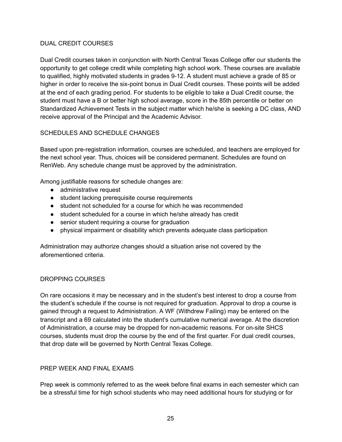## DUAL CREDIT COURSES

Dual Credit courses taken in conjunction with North Central Texas College offer our students the opportunity to get college credit while completing high school work. These courses are available to qualified, highly motivated students in grades 9-12. A student must achieve a grade of 85 or higher in order to receive the six-point bonus in Dual Credit courses. These points will be added at the end of each grading period. For students to be eligible to take a Dual Credit course, the student must have a B or better high school average, score in the 85th percentile or better on Standardized Achievement Tests in the subject matter which he/she is seeking a DC class, AND receive approval of the Principal and the Academic Advisor.

## SCHEDULES AND SCHEDULE CHANGES

Based upon pre-registration information, courses are scheduled, and teachers are employed for the next school year. Thus, choices will be considered permanent. Schedules are found on RenWeb. Any schedule change must be approved by the administration.

Among justifiable reasons for schedule changes are:

- administrative request
- student lacking prerequisite course requirements
- student not scheduled for a course for which he was recommended
- student scheduled for a course in which he/she already has credit
- senior student requiring a course for graduation
- physical impairment or disability which prevents adequate class participation

Administration may authorize changes should a situation arise not covered by the aforementioned criteria.

#### DROPPING COURSES

On rare occasions it may be necessary and in the student's best interest to drop a course from the student's schedule if the course is not required for graduation. Approval to drop a course is gained through a request to Administration. A WF (Withdrew Failing) may be entered on the transcript and a 69 calculated into the student's cumulative numerical average. At the discretion of Administration, a course may be dropped for non-academic reasons. For on-site SHCS courses, students must drop the course by the end of the first quarter. For dual credit courses, that drop date will be governed by North Central Texas College.

#### PREP WEEK AND FINAL EXAMS

Prep week is commonly referred to as the week before final exams in each semester which can be a stressful time for high school students who may need additional hours for studying or for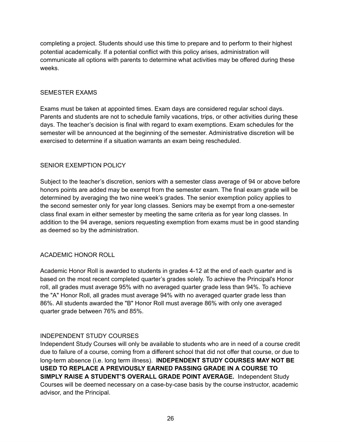completing a project. Students should use this time to prepare and to perform to their highest potential academically. If a potential conflict with this policy arises, administration will communicate all options with parents to determine what activities may be offered during these weeks.

## SEMESTER EXAMS

Exams must be taken at appointed times. Exam days are considered regular school days. Parents and students are not to schedule family vacations, trips, or other activities during these days. The teacher's decision is final with regard to exam exemptions. Exam schedules for the semester will be announced at the beginning of the semester. Administrative discretion will be exercised to determine if a situation warrants an exam being rescheduled.

## SENIOR EXEMPTION POLICY

Subject to the teacher's discretion, seniors with a semester class average of 94 or above before honors points are added may be exempt from the semester exam. The final exam grade will be determined by averaging the two nine week's grades. The senior exemption policy applies to the second semester only for year long classes. Seniors may be exempt from a one-semester class final exam in either semester by meeting the same criteria as for year long classes. In addition to the 94 average, seniors requesting exemption from exams must be in good standing as deemed so by the administration.

## ACADEMIC HONOR ROLL

Academic Honor Roll is awarded to students in grades 4-12 at the end of each quarter and is based on the most recent completed quarter's grades solely. To achieve the Principal's Honor roll, all grades must average 95% with no averaged quarter grade less than 94%. To achieve the "A" Honor Roll, all grades must average 94% with no averaged quarter grade less than 86%. All students awarded the "B" Honor Roll must average 86% with only one averaged quarter grade between 76% and 85%.

#### INDEPENDENT STUDY COURSES

Independent Study Courses will only be available to students who are in need of a course credit due to failure of a course, coming from a different school that did not offer that course, or due to long-term absence (i.e. long term illness). **INDEPENDENT STUDY COURSES MAY NOT BE USED TO REPLACE A PREVIOUSLY EARNED PASSING GRADE IN A COURSE TO SIMPLY RAISE A STUDENT'S OVERALL GRADE POINT AVERAGE.** Independent Study Courses will be deemed necessary on a case-by-case basis by the course instructor, academic advisor, and the Principal.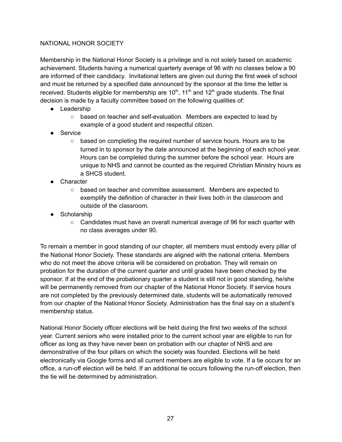## NATIONAL HONOR SOCIETY

Membership in the National Honor Society is a privilege and is not solely based on academic achievement. Students having a numerical quarterly average of 96 with no classes below a 90 are informed of their candidacy. Invitational letters are given out during the first week of school and must be returned by a specified date announced by the sponsor at the time the letter is received. Students eligible for membership are 10<sup>th</sup>, 11<sup>th</sup> and 12<sup>th</sup> grade students. The final decision is made by a faculty committee based on the following qualities of:

- Leadership
	- based on teacher and self-evaluation. Members are expected to lead by example of a good student and respectful citizen.
- Service
	- based on completing the required number of service hours. Hours are to be turned in to sponsor by the date announced at the beginning of each school year. Hours can be completed during the summer before the school year. Hours are unique to NHS and cannot be counted as the required Christian Ministry hours as a SHCS student.
- Character
	- based on teacher and committee assessment. Members are expected to exemplify the definition of character in their lives both in the classroom and outside of the classroom.
- Scholarship
	- Candidates must have an overall numerical average of 96 for each quarter with no class averages under 90.

To remain a member in good standing of our chapter, all members must embody every pillar of the National Honor Society. These standards are aligned with the national criteria. Members who do not meet the above criteria will be considered on probation. They will remain on probation for the duration of the current quarter and until grades have been checked by the sponsor. If at the end of the probationary quarter a student is still not in good standing, he/she will be permanently removed from our chapter of the National Honor Society. If service hours are not completed by the previously determined date, students will be automatically removed from our chapter of the National Honor Society. Administration has the final say on a student's membership status.

National Honor Society officer elections will be held during the first two weeks of the school year. Current seniors who were installed prior to the current school year are eligible to run for officer as long as they have never been on probation with our chapter of NHS and are demonstrative of the four pillars on which the society was founded. Elections will be held electronically via Google forms and all current members are eligible to vote. If a tie occurs for an office, a run-off election will be held. If an additional tie occurs following the run-off election, then the tie will be determined by administration.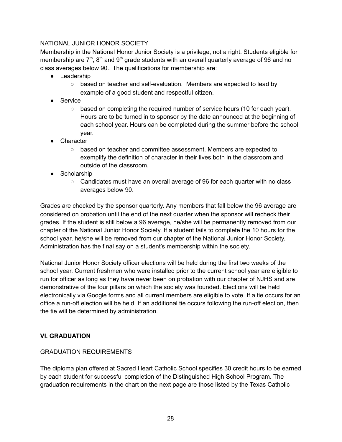## NATIONAL JUNIOR HONOR SOCIETY

Membership in the National Honor Junior Society is a privilege, not a right. Students eligible for membership are 7<sup>th</sup>, 8<sup>th</sup> and 9<sup>th</sup> grade students with an overall quarterly average of 96 and no class averages below 90.. The qualifications for membership are:

- Leadership
	- based on teacher and self-evaluation. Members are expected to lead by example of a good student and respectful citizen.
- Service
	- $\circ$  based on completing the required number of service hours (10 for each year). Hours are to be turned in to sponsor by the date announced at the beginning of each school year. Hours can be completed during the summer before the school year.
- Character
	- based on teacher and committee assessment. Members are expected to exemplify the definition of character in their lives both in the classroom and outside of the classroom.
- Scholarship
	- Candidates must have an overall average of 96 for each quarter with no class averages below 90.

Grades are checked by the sponsor quarterly. Any members that fall below the 96 average are considered on probation until the end of the next quarter when the sponsor will recheck their grades. If the student is still below a 96 average, he/she will be permanently removed from our chapter of the National Junior Honor Society. If a student fails to complete the 10 hours for the school year, he/she will be removed from our chapter of the National Junior Honor Society. Administration has the final say on a student's membership within the society.

National Junior Honor Society officer elections will be held during the first two weeks of the school year. Current freshmen who were installed prior to the current school year are eligible to run for officer as long as they have never been on probation with our chapter of NJHS and are demonstrative of the four pillars on which the society was founded. Elections will be held electronically via Google forms and all current members are eligible to vote. If a tie occurs for an office a run-off election will be held. If an additional tie occurs following the run-off election, then the tie will be determined by administration.

# **VI. GRADUATION**

## GRADUATION REQUIREMENTS

The diploma plan offered at Sacred Heart Catholic School specifies 30 credit hours to be earned by each student for successful completion of the Distinguished High School Program. The graduation requirements in the chart on the next page are those listed by the Texas Catholic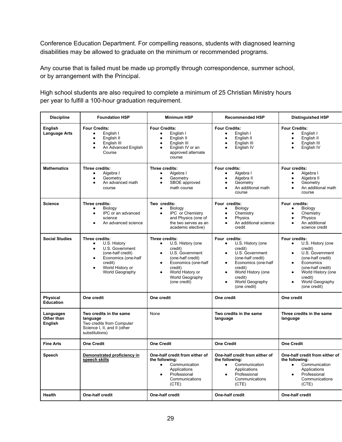Conference Education Department. For compelling reasons, students with diagnosed learning disabilities may be allowed to graduate on the minimum or recommended programs.

Any course that is failed must be made up promptly through correspondence, summer school, or by arrangement with the Principal.

High school students are also required to complete a minimum of 25 Christian Ministry hours per year to fulfill a 100-hour graduation requirement.

| <b>Discipline</b>                   | <b>Foundation HSP</b>                                                                                                                                                                               | <b>Minimum HSP</b>                                                                                                                                                                                                     | <b>Recommended HSP</b>                                                                                                                                                                                                                               | <b>Distinguished HSP</b>                                                                                                                                                                                                                                     |
|-------------------------------------|-----------------------------------------------------------------------------------------------------------------------------------------------------------------------------------------------------|------------------------------------------------------------------------------------------------------------------------------------------------------------------------------------------------------------------------|------------------------------------------------------------------------------------------------------------------------------------------------------------------------------------------------------------------------------------------------------|--------------------------------------------------------------------------------------------------------------------------------------------------------------------------------------------------------------------------------------------------------------|
| English<br><b>Language Arts</b>     | <b>Four Credits:</b><br>English I<br>$\bullet$<br>English II<br>$\bullet$<br>English III<br>$\bullet$<br>An Advanced English<br>$\bullet$<br>Course                                                 | <b>Four Credits:</b><br>English I<br>$\bullet$<br>English II<br>$\bullet$<br>English III<br>$\bullet$<br>English IV or an<br>$\bullet$<br>approved alternate<br>course                                                 | <b>Four Credits:</b><br>English I<br>$\bullet$<br>English II<br>$\bullet$<br>English III<br>$\bullet$<br>English IV<br>$\bullet$                                                                                                                     | <b>Four Credits:</b><br>English I<br>$\bullet$<br>English II<br>$\bullet$<br>English III<br>$\bullet$<br>English IV                                                                                                                                          |
| <b>Mathematics</b>                  | Three credits:<br>Algebra I<br>$\bullet$<br>Geometry<br>$\bullet$<br>An advanced math<br>$\bullet$<br>course                                                                                        | Three credits:<br>Algebra I<br>$\bullet$<br>Geometry<br>$\bullet$<br>SBOE approved<br>$\bullet$<br>math course                                                                                                         | Four credits:<br>Algebra I<br>$\bullet$<br>Algebra II<br>$\bullet$<br>Geometry<br>$\bullet$<br>An additional math<br>$\bullet$<br>course                                                                                                             | Four credits:<br>Algebra I<br>$\bullet$<br>Algebra II<br>$\bullet$<br>Geometry<br>$\bullet$<br>An additional math<br>$\bullet$<br>course                                                                                                                     |
| <b>Science</b>                      | Three credits:<br>Biology<br>$\bullet$<br>IPC or an advanced<br>$\bullet$<br>science<br>An advanced science<br>$\bullet$                                                                            | Two credits:<br>Biology<br>$\bullet$<br>IPC or Chemistry<br>$\bullet$<br>and Physics (one of<br>the two serves as an<br>academic elective)                                                                             | Four credits:<br>Biology<br>$\bullet$<br>Chemistry<br>$\bullet$<br>Physics<br>$\bullet$<br>An additional science<br>credit                                                                                                                           | Four credits:<br>Biology<br>$\bullet$<br>Chemistry<br>$\bullet$<br>Physics<br>$\bullet$<br>An additional<br>science credit                                                                                                                                   |
| <b>Social Studies</b>               | Three credits:<br>U.S. History<br>$\bullet$<br>U.S. Government<br>$\bullet$<br>(one-half credit)<br>Economics (one-half<br>$\bullet$<br>credit)<br>World History or<br>$\bullet$<br>World Geography | Three credits:<br>U.S. History (one<br>$\bullet$<br>credit)<br>U.S. Government<br>$\bullet$<br>(one-half credit)<br>Economics (one-half<br>$\bullet$<br>credit)<br>World History or<br>World Geography<br>(one credit) | Four credits:<br>U.S. History (one<br>٠<br>credit)<br>U.S. Government<br>$\bullet$<br>(one-half credit)<br>Economics (one-half<br>$\bullet$<br>credit)<br>World History (one<br>$\bullet$<br>credit)<br>World Geography<br>$\bullet$<br>(one credit) | Four credits:<br>U.S. History (one<br>$\bullet$<br>credit)<br>U.S. Government<br>$\bullet$<br>(one-half credit)<br>Economics<br>$\bullet$<br>(one-half credit)<br>World History (one<br>$\bullet$<br>credit)<br>World Geography<br>$\bullet$<br>(one credit) |
| <b>Physical</b><br><b>Education</b> | One credit                                                                                                                                                                                          | One credit                                                                                                                                                                                                             | One credit                                                                                                                                                                                                                                           | One credit                                                                                                                                                                                                                                                   |
| Languages<br>Other than<br>English  | Two credits in the same<br>language<br>Two credits from Computer<br>Science I, II, and II (other<br>substitutions)                                                                                  | None                                                                                                                                                                                                                   | Two credits in the same<br>language                                                                                                                                                                                                                  | Three credits in the same<br>language                                                                                                                                                                                                                        |
| <b>Fine Arts</b>                    | <b>One Credit</b>                                                                                                                                                                                   | <b>One Credit</b>                                                                                                                                                                                                      | <b>One Credit</b>                                                                                                                                                                                                                                    | <b>One Credit</b>                                                                                                                                                                                                                                            |
| Speech                              | Demonstrated proficiency in<br>speech skills                                                                                                                                                        | One-half credit from either of<br>the following:<br>Communication<br>Applications<br>Professional<br>$\bullet$<br>Communications<br>(CTE)                                                                              | One-half credit from either of<br>the following:<br>Communication<br>$\bullet$<br>Applications<br>Professional<br>$\bullet$<br>Communications<br>(CTE)                                                                                               | One-half credit from either of<br>the following:<br>Communication<br>$\bullet$<br>Applications<br>Professional<br>$\bullet$<br>Communications<br>(CTE)                                                                                                       |
| Health                              | One-half credit                                                                                                                                                                                     | One-half credit                                                                                                                                                                                                        | One-half credit                                                                                                                                                                                                                                      | One-half credit                                                                                                                                                                                                                                              |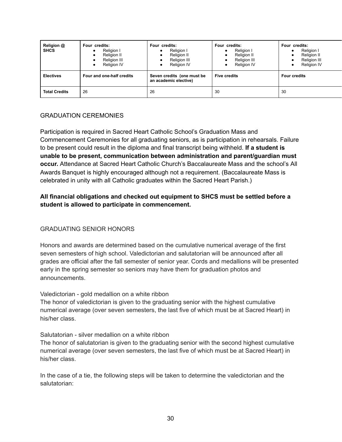| Religion @<br><b>SHCS</b> | Four credits:<br>Religion I<br>Religion II<br>$\bullet$<br>Religion III<br><b>Religion IV</b> | Four credits:<br>Religion I<br>Religion II<br>Religion III<br><b>Religion IV</b> | Four credits:<br>Religion I<br>Religion II<br>Religion III<br><b>Religion IV</b> | Four credits:<br>Religion I<br>٠<br>Religion II<br>$\bullet$<br>Religion III<br><b>Religion IV</b> |
|---------------------------|-----------------------------------------------------------------------------------------------|----------------------------------------------------------------------------------|----------------------------------------------------------------------------------|----------------------------------------------------------------------------------------------------|
| <b>Electives</b>          | Four and one-half credits                                                                     | Seven credits (one must be<br>an academic elective)                              | <b>Five credits</b>                                                              | <b>Four credits</b>                                                                                |
| <b>Total Credits</b>      | 26                                                                                            | 26                                                                               | 30                                                                               | 30                                                                                                 |

## GRADUATION CEREMONIES

Participation is required in Sacred Heart Catholic School's Graduation Mass and Commencement Ceremonies for all graduating seniors, as is participation in rehearsals. Failure to be present could result in the diploma and final transcript being withheld. **If a student is unable to be present, communication between administration and parent/guardian must occur.** Attendance at Sacred Heart Catholic Church's Baccalaureate Mass and the school's All Awards Banquet is highly encouraged although not a requirement. (Baccalaureate Mass is celebrated in unity with all Catholic graduates within the Sacred Heart Parish.)

## **All financial obligations and checked out equipment to SHCS must be settled before a student is allowed to participate in commencement.**

#### GRADUATING SENIOR HONORS

Honors and awards are determined based on the cumulative numerical average of the first seven semesters of high school. Valedictorian and salutatorian will be announced after all grades are official after the fall semester of senior year. Cords and medallions will be presented early in the spring semester so seniors may have them for graduation photos and announcements.

Valedictorian - gold medallion on a white ribbon

The honor of valedictorian is given to the graduating senior with the highest cumulative numerical average (over seven semesters, the last five of which must be at Sacred Heart) in his/her class.

Salutatorian - silver medallion on a white ribbon

The honor of salutatorian is given to the graduating senior with the second highest cumulative numerical average (over seven semesters, the last five of which must be at Sacred Heart) in his/her class.

In the case of a tie, the following steps will be taken to determine the valedictorian and the salutatorian: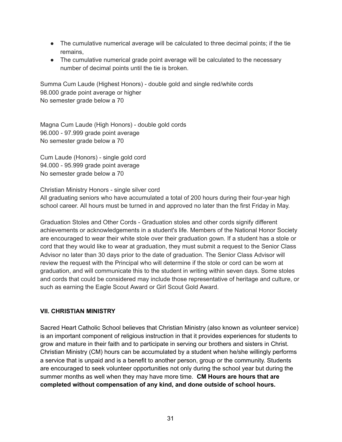- The cumulative numerical average will be calculated to three decimal points; if the tie remains,
- The cumulative numerical grade point average will be calculated to the necessary number of decimal points until the tie is broken.

Summa Cum Laude (Highest Honors) - double gold and single red/white cords 98.000 grade point average or higher No semester grade below a 70

Magna Cum Laude (High Honors) - double gold cords 96.000 - 97.999 grade point average No semester grade below a 70

Cum Laude (Honors) - single gold cord 94.000 - 95.999 grade point average No semester grade below a 70

Christian Ministry Honors - single silver cord All graduating seniors who have accumulated a total of 200 hours during their four-year high school career. All hours must be turned in and approved no later than the first Friday in May.

Graduation Stoles and Other Cords - Graduation stoles and other cords signify different achievements or acknowledgements in a student's life. Members of the National Honor Society are encouraged to wear their white stole over their graduation gown. If a student has a stole or cord that they would like to wear at graduation, they must submit a request to the Senior Class Advisor no later than 30 days prior to the date of graduation. The Senior Class Advisor will review the request with the Principal who will determine if the stole or cord can be worn at graduation, and will communicate this to the student in writing within seven days. Some stoles and cords that could be considered may include those representative of heritage and culture, or such as earning the Eagle Scout Award or Girl Scout Gold Award.

## **VII. CHRISTIAN MINISTRY**

Sacred Heart Catholic School believes that Christian Ministry (also known as volunteer service) is an important component of religious instruction in that it provides experiences for students to grow and mature in their faith and to participate in serving our brothers and sisters in Christ. Christian Ministry (CM) hours can be accumulated by a student when he/she willingly performs a service that is unpaid and is a benefit to another person, group or the community. Students are encouraged to seek volunteer opportunities not only during the school year but during the summer months as well when they may have more time. **CM Hours are hours that are completed without compensation of any kind, and done outside of school hours.**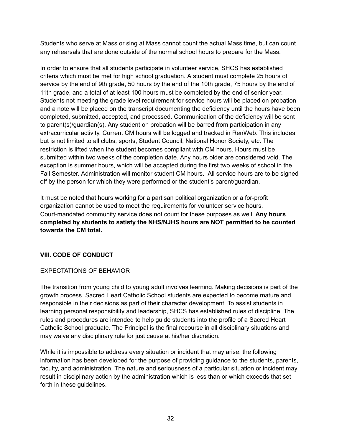Students who serve at Mass or sing at Mass cannot count the actual Mass time, but can count any rehearsals that are done outside of the normal school hours to prepare for the Mass.

In order to ensure that all students participate in volunteer service, SHCS has established criteria which must be met for high school graduation. A student must complete 25 hours of service by the end of 9th grade, 50 hours by the end of the 10th grade, 75 hours by the end of 11th grade, and a total of at least 100 hours must be completed by the end of senior year. Students not meeting the grade level requirement for service hours will be placed on probation and a note will be placed on the transcript documenting the deficiency until the hours have been completed, submitted, accepted, and processed. Communication of the deficiency will be sent to parent(s)/guardian(s). Any student on probation will be barred from participation in any extracurricular activity. Current CM hours will be logged and tracked in RenWeb. This includes but is not limited to all clubs, sports, Student Council, National Honor Society, etc. The restriction is lifted when the student becomes compliant with CM hours. Hours must be submitted within two weeks of the completion date. Any hours older are considered void. The exception is summer hours, which will be accepted during the first two weeks of school in the Fall Semester. Administration will monitor student CM hours. All service hours are to be signed off by the person for which they were performed or the student's parent/guardian.

It must be noted that hours working for a partisan political organization or a for-profit organization cannot be used to meet the requirements for volunteer service hours. Court-mandated community service does not count for these purposes as well. **Any hours completed by students to satisfy the NHS/NJHS hours are NOT permitted to be counted towards the CM total.**

# **VIII. CODE OF CONDUCT**

# EXPECTATIONS OF BEHAVIOR

The transition from young child to young adult involves learning. Making decisions is part of the growth process. Sacred Heart Catholic School students are expected to become mature and responsible in their decisions as part of their character development. To assist students in learning personal responsibility and leadership, SHCS has established rules of discipline. The rules and procedures are intended to help guide students into the profile of a Sacred Heart Catholic School graduate. The Principal is the final recourse in all disciplinary situations and may waive any disciplinary rule for just cause at his/her discretion.

While it is impossible to address every situation or incident that may arise, the following information has been developed for the purpose of providing guidance to the students, parents, faculty, and administration. The nature and seriousness of a particular situation or incident may result in disciplinary action by the administration which is less than or which exceeds that set forth in these guidelines.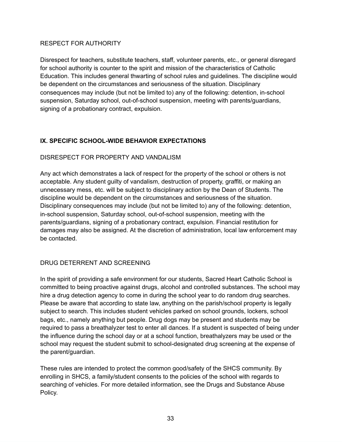## RESPECT FOR AUTHORITY

Disrespect for teachers, substitute teachers, staff, volunteer parents, etc., or general disregard for school authority is counter to the spirit and mission of the characteristics of Catholic Education. This includes general thwarting of school rules and guidelines. The discipline would be dependent on the circumstances and seriousness of the situation. Disciplinary consequences may include (but not be limited to) any of the following: detention, in-school suspension, Saturday school, out-of-school suspension, meeting with parents/guardians, signing of a probationary contract, expulsion.

## **IX. SPECIFIC SCHOOL-WIDE BEHAVIOR EXPECTATIONS**

## DISRESPECT FOR PROPERTY AND VANDALISM

Any act which demonstrates a lack of respect for the property of the school or others is not acceptable. Any student guilty of vandalism, destruction of property, graffiti, or making an unnecessary mess, etc. will be subject to disciplinary action by the Dean of Students. The discipline would be dependent on the circumstances and seriousness of the situation. Disciplinary consequences may include (but not be limited to) any of the following: detention, in-school suspension, Saturday school, out-of-school suspension, meeting with the parents/guardians, signing of a probationary contract, expulsion. Financial restitution for damages may also be assigned. At the discretion of administration, local law enforcement may be contacted.

## DRUG DETERRENT AND SCREENING

In the spirit of providing a safe environment for our students, Sacred Heart Catholic School is committed to being proactive against drugs, alcohol and controlled substances. The school may hire a drug detection agency to come in during the school year to do random drug searches. Please be aware that according to state law, anything on the parish/school property is legally subject to search. This includes student vehicles parked on school grounds, lockers, school bags, etc., namely anything but people. Drug dogs may be present and students may be required to pass a breathalyzer test to enter all dances. If a student is suspected of being under the influence during the school day or at a school function, breathalyzers may be used or the school may request the student submit to school-designated drug screening at the expense of the parent/guardian.

These rules are intended to protect the common good/safety of the SHCS community. By enrolling in SHCS, a family/student consents to the policies of the school with regards to searching of vehicles. For more detailed information, see the Drugs and Substance Abuse Policy.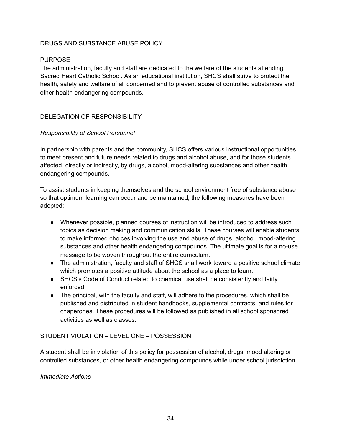### DRUGS AND SUBSTANCE ABUSE POLICY

#### PURPOSE

The administration, faculty and staff are dedicated to the welfare of the students attending Sacred Heart Catholic School. As an educational institution, SHCS shall strive to protect the health, safety and welfare of all concerned and to prevent abuse of controlled substances and other health endangering compounds.

## DELEGATION OF RESPONSIBILITY

#### *Responsibility of School Personnel*

In partnership with parents and the community, SHCS offers various instructional opportunities to meet present and future needs related to drugs and alcohol abuse, and for those students affected, directly or indirectly, by drugs, alcohol, mood-altering substances and other health endangering compounds.

To assist students in keeping themselves and the school environment free of substance abuse so that optimum learning can occur and be maintained, the following measures have been adopted:

- Whenever possible, planned courses of instruction will be introduced to address such topics as decision making and communication skills. These courses will enable students to make informed choices involving the use and abuse of drugs, alcohol, mood-altering substances and other health endangering compounds. The ultimate goal is for a no-use message to be woven throughout the entire curriculum.
- The administration, faculty and staff of SHCS shall work toward a positive school climate which promotes a positive attitude about the school as a place to learn.
- SHCS's Code of Conduct related to chemical use shall be consistently and fairly enforced.
- The principal, with the faculty and staff, will adhere to the procedures, which shall be published and distributed in student handbooks, supplemental contracts, and rules for chaperones. These procedures will be followed as published in all school sponsored activities as well as classes.

#### STUDENT VIOLATION – LEVEL ONE – POSSESSION

A student shall be in violation of this policy for possession of alcohol, drugs, mood altering or controlled substances, or other health endangering compounds while under school jurisdiction.

#### *Immediate Actions*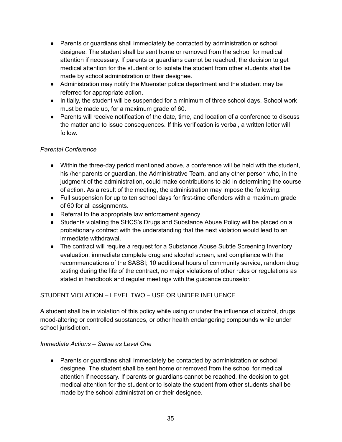- Parents or guardians shall immediately be contacted by administration or school designee. The student shall be sent home or removed from the school for medical attention if necessary. If parents or guardians cannot be reached, the decision to get medical attention for the student or to isolate the student from other students shall be made by school administration or their designee.
- Administration may notify the Muenster police department and the student may be referred for appropriate action.
- Initially, the student will be suspended for a minimum of three school days. School work must be made up, for a maximum grade of 60.
- Parents will receive notification of the date, time, and location of a conference to discuss the matter and to issue consequences. If this verification is verbal, a written letter will follow.

## *Parental Conference*

- Within the three-day period mentioned above, a conference will be held with the student, his /her parents or guardian, the Administrative Team, and any other person who, in the judgment of the administration, could make contributions to aid in determining the course of action. As a result of the meeting, the administration may impose the following:
- Full suspension for up to ten school days for first-time offenders with a maximum grade of 60 for all assignments.
- Referral to the appropriate law enforcement agency
- Students violating the SHCS's Drugs and Substance Abuse Policy will be placed on a probationary contract with the understanding that the next violation would lead to an immediate withdrawal.
- The contract will require a request for a Substance Abuse Subtle Screening Inventory evaluation, immediate complete drug and alcohol screen, and compliance with the recommendations of the SASSI; 10 additional hours of community service, random drug testing during the life of the contract, no major violations of other rules or regulations as stated in handbook and regular meetings with the guidance counselor.

# STUDENT VIOLATION – LEVEL TWO – USE OR UNDER INFLUENCE

A student shall be in violation of this policy while using or under the influence of alcohol, drugs, mood-altering or controlled substances, or other health endangering compounds while under school jurisdiction.

## *Immediate Actions – Same as Level One*

● Parents or guardians shall immediately be contacted by administration or school designee. The student shall be sent home or removed from the school for medical attention if necessary. If parents or guardians cannot be reached, the decision to get medical attention for the student or to isolate the student from other students shall be made by the school administration or their designee.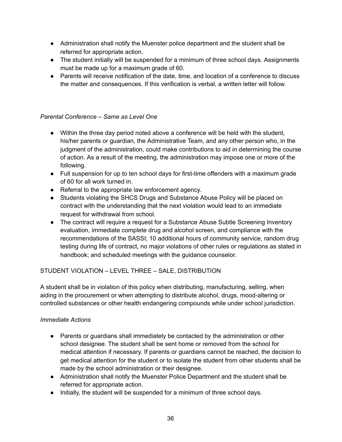- Administration shall notify the Muenster police department and the student shall be referred for appropriate action.
- The student initially will be suspended for a minimum of three school days. Assignments must be made up for a maximum grade of 60.
- Parents will receive notification of the date, time, and location of a conference to discuss the matter and consequences. If this verification is verbal, a written letter will follow.

# *Parental Conference – Same as Level One*

- Within the three day period noted above a conference will be held with the student, his/her parents or guardian, the Administrative Team, and any other person who, in the judgment of the administration, could make contributions to aid in determining the course of action. As a result of the meeting, the administration may impose one or more of the following.
- Full suspension for up to ten school days for first-time offenders with a maximum grade of 60 for all work turned in.
- Referral to the appropriate law enforcement agency.
- Students violating the SHCS Drugs and Substance Abuse Policy will be placed on contract with the understanding that the next violation would lead to an immediate request for withdrawal from school.
- The contract will require a request for a Substance Abuse Subtle Screening Inventory evaluation, immediate complete drug and alcohol screen, and compliance with the recommendations of the SASSI; 10 additional hours of community service, random drug testing during life of contract, no major violations of other rules or regulations as stated in handbook; and scheduled meetings with the guidance counselor.

# STUDENT VIOLATION – LEVEL THREE – SALE, DISTRIBUTION

A student shall be in violation of this policy when distributing, manufacturing, selling, when aiding in the procurement or when attempting to distribute alcohol, drugs, mood-altering or controlled substances or other health endangering compounds while under school jurisdiction.

### *Immediate Actions*

- Parents or guardians shall immediately be contacted by the administration or other school designee. The student shall be sent home or removed from the school for medical attention if necessary. If parents or guardians cannot be reached, the decision to get medical attention for the student or to isolate the student from other students shall be made by the school administration or their designee.
- Administration shall notify the Muenster Police Department and the student shall be referred for appropriate action.
- Initially, the student will be suspended for a minimum of three school days.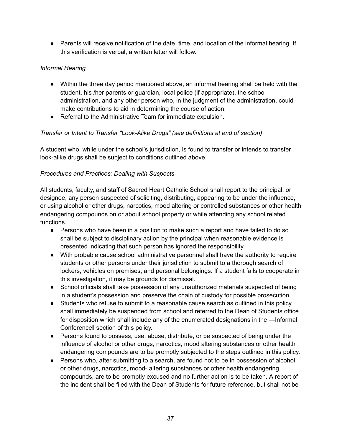● Parents will receive notification of the date, time, and location of the informal hearing. If this verification is verbal, a written letter will follow.

## *Informal Hearing*

- Within the three day period mentioned above, an informal hearing shall be held with the student, his /her parents or guardian, local police (if appropriate), the school administration, and any other person who, in the judgment of the administration, could make contributions to aid in determining the course of action.
- Referral to the Administrative Team for immediate expulsion.

# *Transfer or Intent to Transfer "Look-Alike Drugs" (see definitions at end of section)*

A student who, while under the school's jurisdiction, is found to transfer or intends to transfer look-alike drugs shall be subject to conditions outlined above.

# *Procedures and Practices: Dealing with Suspects*

All students, faculty, and staff of Sacred Heart Catholic School shall report to the principal, or designee, any person suspected of soliciting, distributing, appearing to be under the influence, or using alcohol or other drugs, narcotics, mood altering or controlled substances or other health endangering compounds on or about school property or while attending any school related functions.

- Persons who have been in a position to make such a report and have failed to do so shall be subject to disciplinary action by the principal when reasonable evidence is presented indicating that such person has ignored the responsibility.
- With probable cause school administrative personnel shall have the authority to require students or other persons under their jurisdiction to submit to a thorough search of lockers, vehicles on premises, and personal belongings. If a student fails to cooperate in this investigation, it may be grounds for dismissal.
- School officials shall take possession of any unauthorized materials suspected of being in a student's possession and preserve the chain of custody for possible prosecution.
- Students who refuse to submit to a reasonable cause search as outlined in this policy shall immediately be suspended from school and referred to the Dean of Students office for disposition which shall include any of the enumerated designations in the ―Informal Conference‖ section of this policy.
- Persons found to possess, use, abuse, distribute, or be suspected of being under the influence of alcohol or other drugs, narcotics, mood altering substances or other health endangering compounds are to be promptly subjected to the steps outlined in this policy.
- Persons who, after submitting to a search, are found not to be in possession of alcohol or other drugs, narcotics, mood- altering substances or other health endangering compounds, are to be promptly excused and no further action is to be taken. A report of the incident shall be filed with the Dean of Students for future reference, but shall not be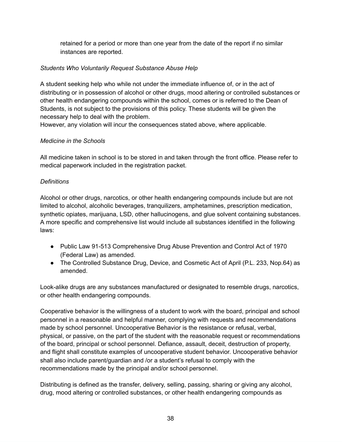retained for a period or more than one year from the date of the report if no similar instances are reported.

# *Students Who Voluntarily Request Substance Abuse Help*

A student seeking help who while not under the immediate influence of, or in the act of distributing or in possession of alcohol or other drugs, mood altering or controlled substances or other health endangering compounds within the school, comes or is referred to the Dean of Students, is not subject to the provisions of this policy. These students will be given the necessary help to deal with the problem.

However, any violation will incur the consequences stated above, where applicable.

# *Medicine in the Schools*

All medicine taken in school is to be stored in and taken through the front office. Please refer to medical paperwork included in the registration packet.

# *Definitions*

Alcohol or other drugs, narcotics, or other health endangering compounds include but are not limited to alcohol, alcoholic beverages, tranquilizers, amphetamines, prescription medication, synthetic opiates, marijuana, LSD, other hallucinogens, and glue solvent containing substances. A more specific and comprehensive list would include all substances identified in the following laws:

- Public Law 91-513 Comprehensive Drug Abuse Prevention and Control Act of 1970 (Federal Law) as amended.
- The Controlled Substance Drug, Device, and Cosmetic Act of April (P.L. 233, Nop.64) as amended.

Look-alike drugs are any substances manufactured or designated to resemble drugs, narcotics, or other health endangering compounds.

Cooperative behavior is the willingness of a student to work with the board, principal and school personnel in a reasonable and helpful manner, complying with requests and recommendations made by school personnel. Uncooperative Behavior is the resistance or refusal, verbal, physical, or passive, on the part of the student with the reasonable request or recommendations of the board, principal or school personnel. Defiance, assault, deceit, destruction of property, and flight shall constitute examples of uncooperative student behavior. Uncooperative behavior shall also include parent/guardian and /or a student's refusal to comply with the recommendations made by the principal and/or school personnel.

Distributing is defined as the transfer, delivery, selling, passing, sharing or giving any alcohol, drug, mood altering or controlled substances, or other health endangering compounds as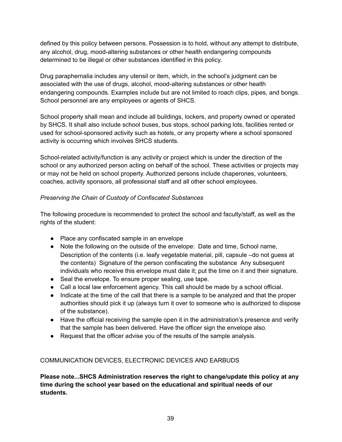defined by this policy between persons. Possession is to hold, without any attempt to distribute, any alcohol, drug, mood-altering substances or other health endangering compounds determined to be illegal or other substances identified in this policy.

Drug paraphernalia includes any utensil or item, which, in the school's judgment can be associated with the use of drugs, alcohol, mood-altering substances or other health endangering compounds. Examples include but are not limited to roach clips, pipes, and bongs. School personnel are any employees or agents of SHCS.

School property shall mean and include all buildings, lockers, and property owned or operated by SHCS. It shall also include school buses, bus stops, school parking lots, facilities rented or used for school-sponsored activity such as hotels, or any property where a school sponsored activity is occurring which involves SHCS students.

School-related activity/function is any activity or project which is under the direction of the school or any authorized person acting on behalf of the school. These activities or projects may or may not be held on school property. Authorized persons include chaperones, volunteers, coaches, activity sponsors, all professional staff and all other school employees.

### *Preserving the Chain of Custody of Confiscated Substances*

The following procedure is recommended to protect the school and faculty/staff, as well as the rights of the student:

- Place any confiscated sample in an envelope
- Note the following on the outside of the envelope: Date and time, School name, Description of the contents (i.e. leafy vegetable material, pill, capsule –do not guess at the contents) Signature of the person confiscating the substance Any subsequent individuals who receive this envelope must date it; put the time on it and their signature.
- Seal the envelope. To ensure proper sealing, use tape.
- Call a local law enforcement agency. This call should be made by a school official.
- Indicate at the time of the call that there is a sample to be analyzed and that the proper authorities should pick it up (always turn it over to someone who is authorized to dispose of the substance).
- Have the official receiving the sample open it in the administration's presence and verify that the sample has been delivered. Have the officer sign the envelope also.
- Request that the officer advise you of the results of the sample analysis.

# COMMUNICATION DEVICES, ELECTRONIC DEVICES AND EARBUDS

**Please note...SHCS Administration reserves the right to change/update this policy at any time during the school year based on the educational and spiritual needs of our students.**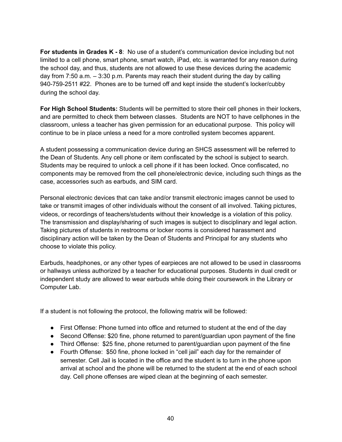**For students in Grades K - 8**: No use of a student's communication device including but not limited to a cell phone, smart phone, smart watch, iPad, etc. is warranted for any reason during the school day, and thus, students are not allowed to use these devices during the academic day from 7:50 a.m. – 3:30 p.m. Parents may reach their student during the day by calling 940-759-2511 #22. Phones are to be turned off and kept inside the student's locker/cubby during the school day.

**For High School Students:** Students will be permitted to store their cell phones in their lockers, and are permitted to check them between classes. Students are NOT to have cellphones in the classroom, unless a teacher has given permission for an educational purpose. This policy will continue to be in place unless a need for a more controlled system becomes apparent.

A student possessing a communication device during an SHCS assessment will be referred to the Dean of Students. Any cell phone or item confiscated by the school is subject to search. Students may be required to unlock a cell phone if it has been locked. Once confiscated, no components may be removed from the cell phone/electronic device, including such things as the case, accessories such as earbuds, and SIM card.

Personal electronic devices that can take and/or transmit electronic images cannot be used to take or transmit images of other individuals without the consent of all involved. Taking pictures, videos, or recordings of teachers/students without their knowledge is a violation of this policy. The transmission and display/sharing of such images is subject to disciplinary and legal action. Taking pictures of students in restrooms or locker rooms is considered harassment and disciplinary action will be taken by the Dean of Students and Principal for any students who choose to violate this policy.

Earbuds, headphones, or any other types of earpieces are not allowed to be used in classrooms or hallways unless authorized by a teacher for educational purposes. Students in dual credit or independent study are allowed to wear earbuds while doing their coursework in the Library or Computer Lab.

If a student is not following the protocol, the following matrix will be followed:

- First Offense: Phone turned into office and returned to student at the end of the day
- Second Offense: \$20 fine, phone returned to parent/guardian upon payment of the fine
- Third Offense: \$25 fine, phone returned to parent/guardian upon payment of the fine
- Fourth Offense: \$50 fine, phone locked in "cell jail" each day for the remainder of semester. Cell Jail is located in the office and the student is to turn in the phone upon arrival at school and the phone will be returned to the student at the end of each school day. Cell phone offenses are wiped clean at the beginning of each semester.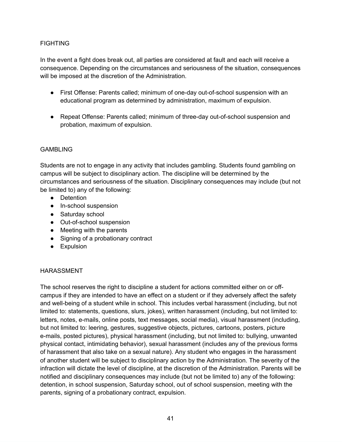# FIGHTING

In the event a fight does break out, all parties are considered at fault and each will receive a consequence. Depending on the circumstances and seriousness of the situation, consequences will be imposed at the discretion of the Administration.

- First Offense: Parents called; minimum of one-day out-of-school suspension with an educational program as determined by administration, maximum of expulsion.
- Repeat Offense: Parents called; minimum of three-day out-of-school suspension and probation, maximum of expulsion.

### GAMBLING

Students are not to engage in any activity that includes gambling. Students found gambling on campus will be subject to disciplinary action. The discipline will be determined by the circumstances and seriousness of the situation. Disciplinary consequences may include (but not be limited to) any of the following:

- Detention
- In-school suspension
- Saturday school
- Out-of-school suspension
- Meeting with the parents
- Signing of a probationary contract
- Expulsion

### HARASSMENT

The school reserves the right to discipline a student for actions committed either on or offcampus if they are intended to have an effect on a student or if they adversely affect the safety and well-being of a student while in school. This includes verbal harassment (including, but not limited to: statements, questions, slurs, jokes), written harassment (including, but not limited to: letters, notes, e-mails, online posts, text messages, social media), visual harassment (including, but not limited to: leering, gestures, suggestive objects, pictures, cartoons, posters, picture e-mails, posted pictures), physical harassment (including, but not limited to: bullying, unwanted physical contact, intimidating behavior), sexual harassment (includes any of the previous forms of harassment that also take on a sexual nature). Any student who engages in the harassment of another student will be subject to disciplinary action by the Administration. The severity of the infraction will dictate the level of discipline, at the discretion of the Administration. Parents will be notified and disciplinary consequences may include (but not be limited to) any of the following: detention, in school suspension, Saturday school, out of school suspension, meeting with the parents, signing of a probationary contract, expulsion.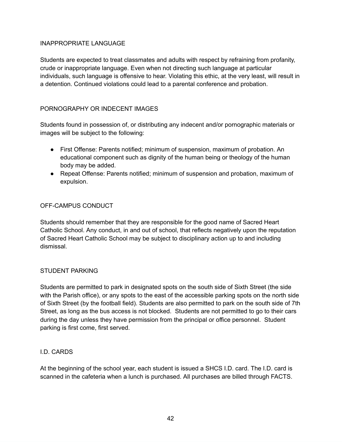### INAPPROPRIATE LANGUAGE

Students are expected to treat classmates and adults with respect by refraining from profanity, crude or inappropriate language. Even when not directing such language at particular individuals, such language is offensive to hear. Violating this ethic, at the very least, will result in a detention. Continued violations could lead to a parental conference and probation.

### PORNOGRAPHY OR INDECENT IMAGES

Students found in possession of, or distributing any indecent and/or pornographic materials or images will be subject to the following:

- First Offense: Parents notified; minimum of suspension, maximum of probation. An educational component such as dignity of the human being or theology of the human body may be added.
- Repeat Offense: Parents notified; minimum of suspension and probation, maximum of expulsion.

#### OFF-CAMPUS CONDUCT

Students should remember that they are responsible for the good name of Sacred Heart Catholic School. Any conduct, in and out of school, that reflects negatively upon the reputation of Sacred Heart Catholic School may be subject to disciplinary action up to and including dismissal.

#### STUDENT PARKING

Students are permitted to park in designated spots on the south side of Sixth Street (the side with the Parish office), or any spots to the east of the accessible parking spots on the north side of Sixth Street (by the football field). Students are also permitted to park on the south side of 7th Street, as long as the bus access is not blocked. Students are not permitted to go to their cars during the day unless they have permission from the principal or office personnel. Student parking is first come, first served.

#### I.D. CARDS

At the beginning of the school year, each student is issued a SHCS I.D. card. The I.D. card is scanned in the cafeteria when a lunch is purchased. All purchases are billed through FACTS.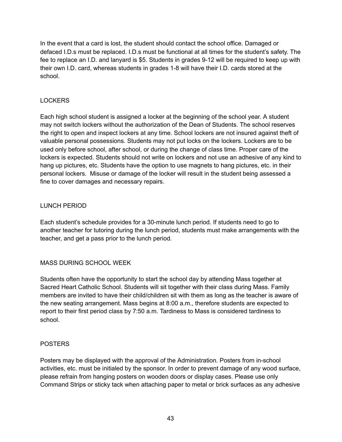In the event that a card is lost, the student should contact the school office. Damaged or defaced I.D.s must be replaced. I.D.s must be functional at all times for the student's safety. The fee to replace an I.D. and lanyard is \$5. Students in grades 9-12 will be required to keep up with their own I.D. card, whereas students in grades 1-8 will have their I.D. cards stored at the school.

# LOCKERS

Each high school student is assigned a locker at the beginning of the school year. A student may not switch lockers without the authorization of the Dean of Students. The school reserves the right to open and inspect lockers at any time. School lockers are not insured against theft of valuable personal possessions. Students may not put locks on the lockers. Lockers are to be used only before school, after school, or during the change of class time. Proper care of the lockers is expected. Students should not write on lockers and not use an adhesive of any kind to hang up pictures, etc. Students have the option to use magnets to hang pictures, etc. in their personal lockers. Misuse or damage of the locker will result in the student being assessed a fine to cover damages and necessary repairs.

# LUNCH PERIOD

Each student's schedule provides for a 30-minute lunch period. If students need to go to another teacher for tutoring during the lunch period, students must make arrangements with the teacher, and get a pass prior to the lunch period.

# MASS DURING SCHOOL WEEK

Students often have the opportunity to start the school day by attending Mass together at Sacred Heart Catholic School. Students will sit together with their class during Mass. Family members are invited to have their child/children sit with them as long as the teacher is aware of the new seating arrangement. Mass begins at 8:00 a.m., therefore students are expected to report to their first period class by 7:50 a.m. Tardiness to Mass is considered tardiness to school.

# POSTERS

Posters may be displayed with the approval of the Administration. Posters from in-school activities, etc. must be initialed by the sponsor. In order to prevent damage of any wood surface, please refrain from hanging posters on wooden doors or display cases. Please use only Command Strips or sticky tack when attaching paper to metal or brick surfaces as any adhesive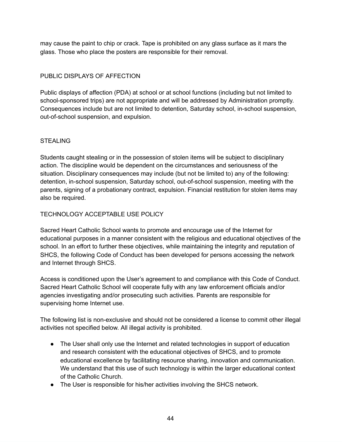may cause the paint to chip or crack. Tape is prohibited on any glass surface as it mars the glass. Those who place the posters are responsible for their removal.

# PUBLIC DISPLAYS OF AFFECTION

Public displays of affection (PDA) at school or at school functions (including but not limited to school-sponsored trips) are not appropriate and will be addressed by Administration promptly. Consequences include but are not limited to detention, Saturday school, in-school suspension, out-of-school suspension, and expulsion.

### **STEALING**

Students caught stealing or in the possession of stolen items will be subject to disciplinary action. The discipline would be dependent on the circumstances and seriousness of the situation. Disciplinary consequences may include (but not be limited to) any of the following: detention, in-school suspension, Saturday school, out-of-school suspension, meeting with the parents, signing of a probationary contract, expulsion. Financial restitution for stolen items may also be required.

# TECHNOLOGY ACCEPTABLE USE POLICY

Sacred Heart Catholic School wants to promote and encourage use of the Internet for educational purposes in a manner consistent with the religious and educational objectives of the school. In an effort to further these objectives, while maintaining the integrity and reputation of SHCS, the following Code of Conduct has been developed for persons accessing the network and Internet through SHCS.

Access is conditioned upon the User's agreement to and compliance with this Code of Conduct. Sacred Heart Catholic School will cooperate fully with any law enforcement officials and/or agencies investigating and/or prosecuting such activities. Parents are responsible for supervising home Internet use.

The following list is non-exclusive and should not be considered a license to commit other illegal activities not specified below. All illegal activity is prohibited.

- The User shall only use the Internet and related technologies in support of education and research consistent with the educational objectives of SHCS, and to promote educational excellence by facilitating resource sharing, innovation and communication. We understand that this use of such technology is within the larger educational context of the Catholic Church.
- The User is responsible for his/her activities involving the SHCS network.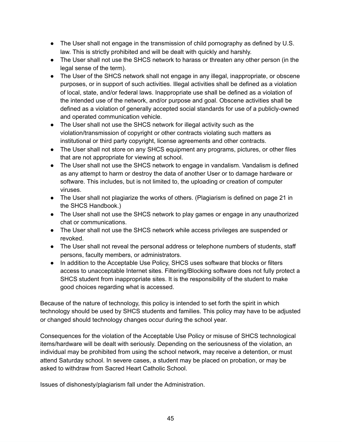- The User shall not engage in the transmission of child pornography as defined by U.S. law. This is strictly prohibited and will be dealt with quickly and harshly.
- The User shall not use the SHCS network to harass or threaten any other person (in the legal sense of the term).
- The User of the SHCS network shall not engage in any illegal, inappropriate, or obscene purposes, or in support of such activities. Illegal activities shall be defined as a violation of local, state, and/or federal laws. Inappropriate use shall be defined as a violation of the intended use of the network, and/or purpose and goal. Obscene activities shall be defined as a violation of generally accepted social standards for use of a publicly-owned and operated communication vehicle.
- The User shall not use the SHCS network for illegal activity such as the violation/transmission of copyright or other contracts violating such matters as institutional or third party copyright, license agreements and other contracts.
- The User shall not store on any SHCS equipment any programs, pictures, or other files that are not appropriate for viewing at school.
- The User shall not use the SHCS network to engage in vandalism. Vandalism is defined as any attempt to harm or destroy the data of another User or to damage hardware or software. This includes, but is not limited to, the uploading or creation of computer viruses.
- The User shall not plagiarize the works of others. (Plagiarism is defined on page 21 in the SHCS Handbook.)
- The User shall not use the SHCS network to play games or engage in any unauthorized chat or communications.
- The User shall not use the SHCS network while access privileges are suspended or revoked.
- The User shall not reveal the personal address or telephone numbers of students, staff persons, faculty members, or administrators.
- In addition to the Acceptable Use Policy, SHCS uses software that blocks or filters access to unacceptable Internet sites. Filtering/Blocking software does not fully protect a SHCS student from inappropriate sites. It is the responsibility of the student to make good choices regarding what is accessed.

Because of the nature of technology, this policy is intended to set forth the spirit in which technology should be used by SHCS students and families. This policy may have to be adjusted or changed should technology changes occur during the school year.

Consequences for the violation of the Acceptable Use Policy or misuse of SHCS technological items/hardware will be dealt with seriously. Depending on the seriousness of the violation, an individual may be prohibited from using the school network, may receive a detention, or must attend Saturday school. In severe cases, a student may be placed on probation, or may be asked to withdraw from Sacred Heart Catholic School.

Issues of dishonesty/plagiarism fall under the Administration.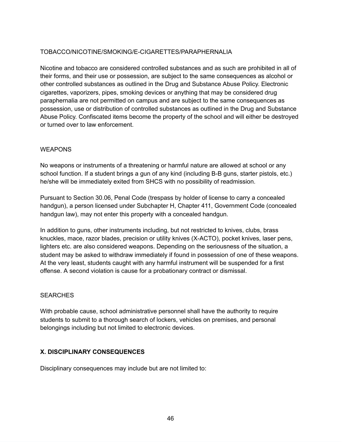### TOBACCO/NICOTINE/SMOKING/E-CIGARETTES/PARAPHERNALIA

Nicotine and tobacco are considered controlled substances and as such are prohibited in all of their forms, and their use or possession, are subject to the same consequences as alcohol or other controlled substances as outlined in the Drug and Substance Abuse Policy. Electronic cigarettes, vaporizers, pipes, smoking devices or anything that may be considered drug paraphernalia are not permitted on campus and are subject to the same consequences as possession, use or distribution of controlled substances as outlined in the Drug and Substance Abuse Policy. Confiscated items become the property of the school and will either be destroyed or turned over to law enforcement.

#### **WEAPONS**

No weapons or instruments of a threatening or harmful nature are allowed at school or any school function. If a student brings a gun of any kind (including B-B guns, starter pistols, etc.) he/she will be immediately exited from SHCS with no possibility of readmission.

Pursuant to Section 30.06, Penal Code (trespass by holder of license to carry a concealed handgun), a person licensed under Subchapter H, Chapter 411, Government Code (concealed handgun law), may not enter this property with a concealed handgun.

In addition to guns, other instruments including, but not restricted to knives, clubs, brass knuckles, mace, razor blades, precision or utility knives (X-ACTO), pocket knives, laser pens, lighters etc. are also considered weapons. Depending on the seriousness of the situation, a student may be asked to withdraw immediately if found in possession of one of these weapons. At the very least, students caught with any harmful instrument will be suspended for a first offense. A second violation is cause for a probationary contract or dismissal.

#### **SEARCHES**

With probable cause, school administrative personnel shall have the authority to require students to submit to a thorough search of lockers, vehicles on premises, and personal belongings including but not limited to electronic devices.

### **X. DISCIPLINARY CONSEQUENCES**

Disciplinary consequences may include but are not limited to: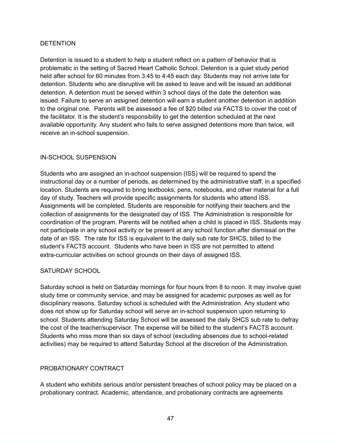### **DETENTION**

Detention is issued to a student to help a student reflect on a pattern of behavior that is problematic in the setting of Sacred Heart Catholic School. Detention is a quiet study period held after school for 60 minutes from 3:45 to 4:45 each day. Students may not arrive late for detention. Students who are disruptive will be asked to leave and will be issued an additional detention. A detention must be served within 3 school days of the date the detention was issued. Failure to serve an assigned detention will earn a student another detention in addition to the original one. Parents will be assessed a fee of \$20 billed via FACTS to cover the cost of the facilitator. It is the student's responsibility to get the detention scheduled at the next available opportunity. Any student who fails to serve assigned detentions more than twice, will receive an in-school suspension.

#### IN-SCHOOL SUSPENSION

Students who are assigned an in-school suspension (ISS) will be required to spend the instructional day or a number of periods, as determined by the administrative staff, in a specified location. Students are required to bring textbooks, pens, notebooks, and other material for a full day of study. Teachers will provide specific assignments for students who attend ISS. Assignments will be completed. Students are responsible for notifying their teachers and the collection of assignments for the designated day of ISS. The Administration is responsible for coordination of the program. Parents will be notified when a child is placed in ISS. Students may not participate in any school activity or be present at any school function after dismissal on the date of an ISS. The rate for ISS is equivalent to the daily sub rate for SHCS, billed to the student's FACTS account. Students who have been in ISS are not permitted to attend extra-curricular activities on school grounds on their days of assigned ISS.

#### SATURDAY SCHOOL

Saturday school is held on Saturday mornings for four hours from 8 to noon. It may involve quiet study time or community service, and may be assigned for academic purposes as well as for disciplinary reasons. Saturday school is scheduled with the Administration. Any student who does not show up for Saturday school will serve an in-school suspension upon returning to school. Students attending Saturday School will be assessed the daily SHCS sub rate to defray the cost of the teacher/supervisor. The expense will be billed to the student's FACTS account. Students who miss more than six days of school (excluding absences due to school-related activities) may be required to attend Saturday School at the discretion of the Administration.

#### PROBATIONARY CONTRACT

A student who exhibits serious and/or persistent breaches of school policy may be placed on a probationary contract. Academic, attendance, and probationary contracts are agreements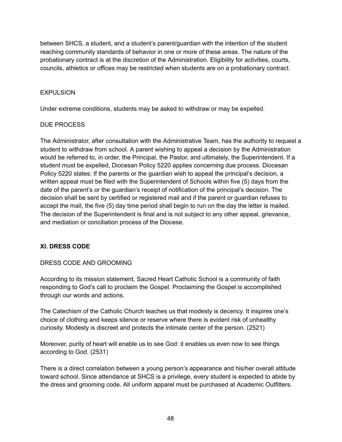between SHCS, a student, and a student's parent/guardian with the intention of the student reaching community standards of behavior in one or more of these areas. The nature of the probationary contract is at the discretion of the Administration. Eligibility for activities, courts, councils, athletics or offices may be restricted when students are on a probationary contract.

#### EXPULSION

Under extreme conditions, students may be asked to withdraw or may be expelled.

#### DUE PROCESS

The Administrator, after consultation with the Administrative Team, has the authority to request a student to withdraw from school. A parent wishing to appeal a decision by the Administration would be referred to, in order, the Principal, the Pastor, and ultimately, the Superintendent. If a student must be expelled, Diocesan Policy 5220 applies concerning due process. Diocesan Policy 5220 states: If the parents or the guardian wish to appeal the principal's decision, a written appeal must be filed with the Superintendent of Schools within five (5) days from the date of the parent's or the guardian's receipt of notification of the principal's decision. The decision shall be sent by certified or registered mail and if the parent or guardian refuses to accept the mail, the five (5) day time period shall begin to run on the day the letter is mailed. The decision of the Superintendent is final and is not subject to any other appeal, grievance, and mediation or conciliation process of the Diocese.

### **XI. DRESS CODE**

### DRESS CODE AND GROOMING

According to its mission statement, Sacred Heart Catholic School is a community of faith responding to God's call to proclaim the Gospel. Proclaiming the Gospel is accomplished through our words and actions.

The Catechism of the Catholic Church teaches us that modesty is decency. It inspires one's choice of clothing and keeps silence or reserve where there is evident risk of unhealthy curiosity. Modesty is discreet and protects the intimate center of the person. (2521)

Moreover, purity of heart will enable us to see God: it enables us even now to see things according to God. (2531)

There is a direct correlation between a young person's appearance and his/her overall attitude toward school. Since attendance at SHCS is a privilege, every student is expected to abide by the dress and grooming code. All uniform apparel must be purchased at Academic Outfitters.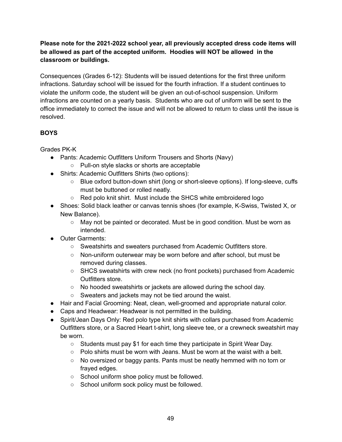# **Please note for the 2021-2022 school year, all previously accepted dress code items will be allowed as part of the accepted uniform. Hoodies will NOT be allowed in the classroom or buildings.**

Consequences (Grades 6-12): Students will be issued detentions for the first three uniform infractions. Saturday school will be issued for the fourth infraction. If a student continues to violate the uniform code, the student will be given an out-of-school suspension. Uniform infractions are counted on a yearly basis. Students who are out of uniform will be sent to the office immediately to correct the issue and will not be allowed to return to class until the issue is resolved.

# **BOYS**

Grades PK-K

- Pants: Academic Outfitters Uniform Trousers and Shorts (Navy)
	- Pull-on style slacks or shorts are acceptable
- Shirts: Academic Outfitters Shirts (two options):
	- Blue oxford button-down shirt (long or short-sleeve options). If long-sleeve, cuffs must be buttoned or rolled neatly.
	- Red polo knit shirt. Must include the SHCS white embroidered logo
- Shoes: Solid black leather or canvas tennis shoes (for example, K-Swiss, Twisted X, or New Balance).
	- May not be painted or decorated. Must be in good condition. Must be worn as intended.
- Outer Garments:
	- Sweatshirts and sweaters purchased from Academic Outfitters store.
	- Non-uniform outerwear may be worn before and after school, but must be removed during classes.
	- SHCS sweatshirts with crew neck (no front pockets) purchased from Academic Outfitters store.
	- No hooded sweatshirts or jackets are allowed during the school day.
	- Sweaters and jackets may not be tied around the waist.
- Hair and Facial Grooming: Neat, clean, well-groomed and appropriate natural color.
- Caps and Headwear: Headwear is not permitted in the building.
- Spirit/Jean Days Only: Red polo type knit shirts with collars purchased from Academic Outfitters store, or a Sacred Heart t-shirt, long sleeve tee, or a crewneck sweatshirt may be worn.
	- Students must pay \$1 for each time they participate in Spirit Wear Day.
	- $\circ$  Polo shirts must be worn with Jeans. Must be worn at the waist with a belt.
	- No oversized or baggy pants. Pants must be neatly hemmed with no torn or frayed edges.
	- School uniform shoe policy must be followed.
	- School uniform sock policy must be followed.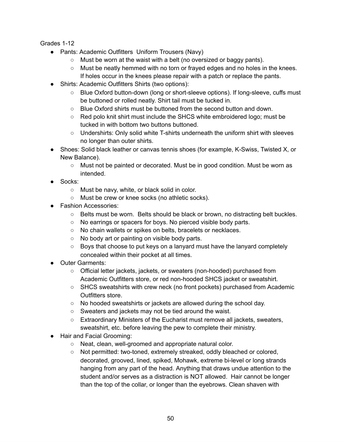Grades 1-12

- Pants: Academic Outfitters Uniform Trousers (Navy)
	- Must be worn at the waist with a belt (no oversized or baggy pants).
	- $\circ$  Must be neatly hemmed with no torn or fraved edges and no holes in the knees. If holes occur in the knees please repair with a patch or replace the pants.
- Shirts: Academic Outfitters Shirts (two options):
	- Blue Oxford button-down (long or short-sleeve options). If long-sleeve, cuffs must be buttoned or rolled neatly. Shirt tail must be tucked in.
	- $\circ$  Blue Oxford shirts must be buttoned from the second button and down.
	- Red polo knit shirt must include the SHCS white embroidered logo; must be tucked in with bottom two buttons buttoned.
	- Undershirts: Only solid white T-shirts underneath the uniform shirt with sleeves no longer than outer shirts.
- Shoes: Solid black leather or canvas tennis shoes (for example, K-Swiss, Twisted X, or New Balance).
	- Must not be painted or decorated. Must be in good condition. Must be worn as intended.
- Socks:
	- Must be navy, white, or black solid in color.
	- Must be crew or knee socks (no athletic socks).
- Fashion Accessories:
	- Belts must be worn. Belts should be black or brown, no distracting belt buckles.
	- No earrings or spacers for boys. No pierced visible body parts.
	- No chain wallets or spikes on belts, bracelets or necklaces.
	- No body art or painting on visible body parts.
	- Boys that choose to put keys on a lanyard must have the lanyard completely concealed within their pocket at all times.
- Outer Garments:
	- Official letter jackets, jackets, or sweaters (non-hooded) purchased from Academic Outfitters store, or red non-hooded SHCS jacket or sweatshirt.
	- SHCS sweatshirts with crew neck (no front pockets) purchased from Academic Outfitters store.
	- No hooded sweatshirts or jackets are allowed during the school day.
	- Sweaters and jackets may not be tied around the waist.
	- Extraordinary Ministers of the Eucharist must remove all jackets, sweaters, sweatshirt, etc. before leaving the pew to complete their ministry.
- Hair and Facial Grooming:
	- Neat, clean, well-groomed and appropriate natural color.
	- Not permitted: two-toned, extremely streaked, oddly bleached or colored, decorated, grooved, lined, spiked, Mohawk, extreme bi-level or long strands hanging from any part of the head. Anything that draws undue attention to the student and/or serves as a distraction is NOT allowed. Hair cannot be longer than the top of the collar, or longer than the eyebrows. Clean shaven with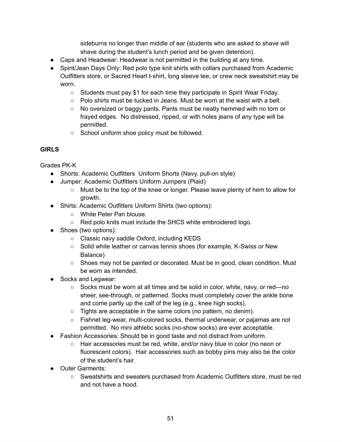sideburns no longer than middle of ear (students who are asked to shave will shave during the student's lunch period and be given detention).

- Caps and Headwear: Headwear is not permitted in the building at any time.
- Spirit/Jean Days Only: Red polo type knit shirts with collars purchased from Academic Outfitters store, or Sacred Heart t-shirt, long sleeve tee, or crew neck sweatshirt may be worn.
	- Students must pay \$1 for each time they participate in Spirit Wear Friday.
	- Polo shirts must be tucked in Jeans. Must be worn at the waist with a belt.
	- No oversized or baggy pants. Pants must be neatly hemmed with no torn or frayed edges. No distressed, ripped, or with holes jeans of any type will be permitted.
	- School uniform shoe policy must be followed.

# **GIRLS**

Grades PK-K

- Shorts: Academic Outfitters Uniform Shorts (Navy, pull-on style)
- Jumper: Academic Outfitters Uniform Jumpers (Plaid)
	- Must be to the top of the knee or longer. Please leave plenty of hem to allow for growth.
- Shirts: Academic Outfitters Uniform Shirts (two options):
	- White Peter Pan blouse.
	- Red polo knits must include the SHCS white embroidered logo.
- Shoes (two options):
	- Classic navy saddle Oxford, including KEDS
	- Solid white leather or canvas tennis shoes (for example, K-Swiss or New Balance)
	- Shoes may not be painted or decorated. Must be in good, clean condition. Must be worn as intended.
- Socks and Legwear:
	- Socks must be worn at all times and be solid in color, white, navy, or red—no sheer, see-through, or patterned. Socks must completely cover the ankle bone and come partly up the calf of the leg (e.g., knee high socks).
	- Tights are acceptable in the same colors (no pattern, no denim).
	- Fishnet leg-wear, multi-colored socks, thermal underwear, or pajamas are not permitted. No mini athletic socks (no-show socks) are ever acceptable.
- Fashion Accessories: Should be in good taste and not distract from uniform.
	- Hair accessories must be red, white, and/or navy blue in color (no neon or fluorescent colors). Hair accessories such as bobby pins may also be the color of the student's hair.
- Outer Garments:
	- Sweatshirts and sweaters purchased from Academic Outfitters store, must be red and not have a hood.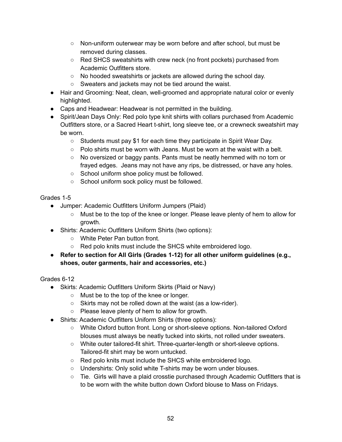- Non-uniform outerwear may be worn before and after school, but must be removed during classes.
- Red SHCS sweatshirts with crew neck (no front pockets) purchased from Academic Outfitters store.
- No hooded sweatshirts or jackets are allowed during the school day.
- Sweaters and jackets may not be tied around the waist.
- Hair and Grooming: Neat, clean, well-groomed and appropriate natural color or evenly highlighted.
- Caps and Headwear: Headwear is not permitted in the building.
- Spirit/Jean Days Only: Red polo type knit shirts with collars purchased from Academic Outfitters store, or a Sacred Heart t-shirt, long sleeve tee, or a crewneck sweatshirt may be worn.
	- Students must pay \$1 for each time they participate in Spirit Wear Day.
	- $\circ$  Polo shirts must be worn with Jeans. Must be worn at the waist with a belt.
	- $\circ$  No oversized or baggy pants. Pants must be neatly hemmed with no torn or frayed edges. Jeans may not have any rips, be distressed, or have any holes.
	- School uniform shoe policy must be followed.
	- School uniform sock policy must be followed.

Grades 1-5

- Jumper: Academic Outfitters Uniform Jumpers (Plaid)
	- Must be to the top of the knee or longer. Please leave plenty of hem to allow for growth.
- Shirts: Academic Outfitters Uniform Shirts (two options):
	- White Peter Pan button front.
	- Red polo knits must include the SHCS white embroidered logo.
- **● Refer to section for All Girls (Grades 1-12) for all other uniform guidelines (e.g., shoes, outer garments, hair and accessories, etc.)**

Grades 6-12

- Skirts: Academic Outfitters Uniform Skirts (Plaid or Navy)
	- Must be to the top of the knee or longer.
	- Skirts may not be rolled down at the waist (as a low-rider).
	- Please leave plenty of hem to allow for growth.
- Shirts: Academic Outfitters Uniform Shirts (three options):
	- White Oxford button front. Long or short-sleeve options. Non-tailored Oxford blouses must always be neatly tucked into skirts, not rolled under sweaters.
	- White outer tailored-fit shirt. Three-quarter-length or short-sleeve options. Tailored-fit shirt may be worn untucked.
	- Red polo knits must include the SHCS white embroidered logo.
	- Undershirts: Only solid white T-shirts may be worn under blouses.
	- $\circ$  Tie. Girls will have a plaid crosstie purchased through Academic Outfitters that is to be worn with the white button down Oxford blouse to Mass on Fridays.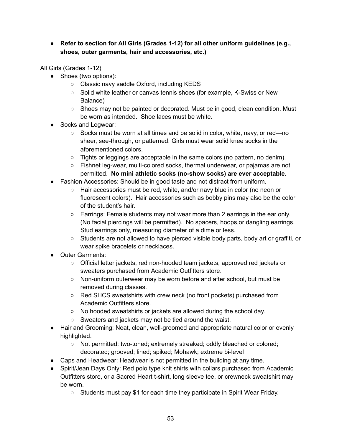● **Refer to section for All Girls (Grades 1-12) for all other uniform guidelines (e.g., shoes, outer garments, hair and accessories, etc.)**

All Girls (Grades 1-12)

- Shoes (two options):
	- Classic navy saddle Oxford, including KEDS
	- Solid white leather or canvas tennis shoes (for example, K-Swiss or New Balance)
	- Shoes may not be painted or decorated. Must be in good, clean condition. Must be worn as intended. Shoe laces must be white.
- Socks and Legwear:
	- Socks must be worn at all times and be solid in color, white, navy, or red—no sheer, see-through, or patterned. Girls must wear solid knee socks in the aforementioned colors.
	- $\circ$  Tights or leggings are acceptable in the same colors (no pattern, no denim).
	- Fishnet leg-wear, multi-colored socks, thermal underwear, or pajamas are not permitted. **No mini athletic socks (no-show socks) are ever acceptable.**
- Fashion Accessories: Should be in good taste and not distract from uniform.
	- Hair accessories must be red, white, and/or navy blue in color (no neon or fluorescent colors). Hair accessories such as bobby pins may also be the color of the student's hair.
	- $\circ$  Earrings: Female students may not wear more than 2 earrings in the ear only. (No facial piercings will be permitted). No spacers, hoops,or dangling earrings. Stud earrings only, measuring diameter of a dime or less.
	- Students are not allowed to have pierced visible body parts, body art or graffiti, or wear spike bracelets or necklaces.
- Outer Garments:
	- Official letter jackets, red non-hooded team jackets, approved red jackets or sweaters purchased from Academic Outfitters store.
	- Non-uniform outerwear may be worn before and after school, but must be removed during classes.
	- Red SHCS sweatshirts with crew neck (no front pockets) purchased from Academic Outfitters store.
	- No hooded sweatshirts or jackets are allowed during the school day.
	- Sweaters and jackets may not be tied around the waist.
- Hair and Grooming: Neat, clean, well-groomed and appropriate natural color or evenly highlighted.
	- Not permitted: two-toned; extremely streaked; oddly bleached or colored; decorated; grooved; lined; spiked; Mohawk; extreme bi-level
- Caps and Headwear: Headwear is not permitted in the building at any time.
- Spirit/Jean Days Only: Red polo type knit shirts with collars purchased from Academic Outfitters store, or a Sacred Heart t-shirt, long sleeve tee, or crewneck sweatshirt may be worn.
	- Students must pay \$1 for each time they participate in Spirit Wear Friday.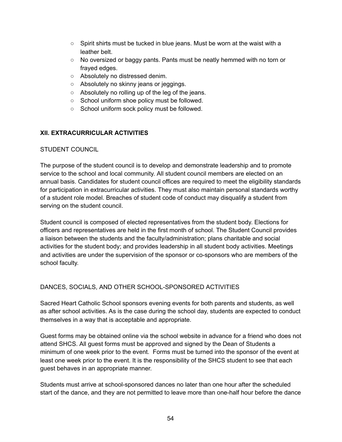- Spirit shirts must be tucked in blue jeans. Must be worn at the waist with a leather belt.
- No oversized or baggy pants. Pants must be neatly hemmed with no torn or frayed edges.
- Absolutely no distressed denim.
- Absolutely no skinny jeans or jeggings.
- Absolutely no rolling up of the leg of the jeans.
- School uniform shoe policy must be followed.
- School uniform sock policy must be followed.

# **XII. EXTRACURRICULAR ACTIVITIES**

### STUDENT COUNCIL

The purpose of the student council is to develop and demonstrate leadership and to promote service to the school and local community. All student council members are elected on an annual basis. Candidates for student council offices are required to meet the eligibility standards for participation in extracurricular activities. They must also maintain personal standards worthy of a student role model. Breaches of student code of conduct may disqualify a student from serving on the student council.

Student council is composed of elected representatives from the student body. Elections for officers and representatives are held in the first month of school. The Student Council provides a liaison between the students and the faculty/administration; plans charitable and social activities for the student body; and provides leadership in all student body activities. Meetings and activities are under the supervision of the sponsor or co-sponsors who are members of the school faculty.

# DANCES, SOCIALS, AND OTHER SCHOOL-SPONSORED ACTIVITIES

Sacred Heart Catholic School sponsors evening events for both parents and students, as well as after school activities. As is the case during the school day, students are expected to conduct themselves in a way that is acceptable and appropriate.

Guest forms may be obtained online via the school website in advance for a friend who does not attend SHCS. All guest forms must be approved and signed by the Dean of Students a minimum of one week prior to the event. Forms must be turned into the sponsor of the event at least one week prior to the event. It is the responsibility of the SHCS student to see that each guest behaves in an appropriate manner.

Students must arrive at school-sponsored dances no later than one hour after the scheduled start of the dance, and they are not permitted to leave more than one-half hour before the dance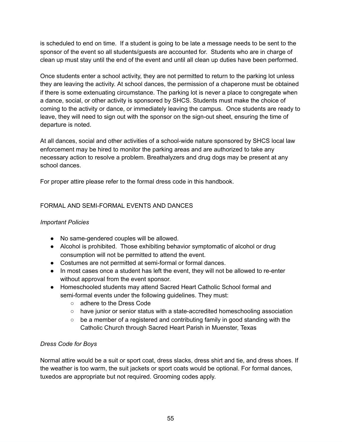is scheduled to end on time. If a student is going to be late a message needs to be sent to the sponsor of the event so all students/guests are accounted for. Students who are in charge of clean up must stay until the end of the event and until all clean up duties have been performed.

Once students enter a school activity, they are not permitted to return to the parking lot unless they are leaving the activity. At school dances, the permission of a chaperone must be obtained if there is some extenuating circumstance. The parking lot is never a place to congregate when a dance, social, or other activity is sponsored by SHCS. Students must make the choice of coming to the activity or dance, or immediately leaving the campus. Once students are ready to leave, they will need to sign out with the sponsor on the sign-out sheet, ensuring the time of departure is noted.

At all dances, social and other activities of a school-wide nature sponsored by SHCS local law enforcement may be hired to monitor the parking areas and are authorized to take any necessary action to resolve a problem. Breathalyzers and drug dogs may be present at any school dances.

For proper attire please refer to the formal dress code in this handbook.

# FORMAL AND SEMI-FORMAL EVENTS AND DANCES

# *Important Policies*

- No same-gendered couples will be allowed.
- Alcohol is prohibited. Those exhibiting behavior symptomatic of alcohol or drug consumption will not be permitted to attend the event.
- Costumes are not permitted at semi-formal or formal dances.
- In most cases once a student has left the event, they will not be allowed to re-enter without approval from the event sponsor.
- Homeschooled students may attend Sacred Heart Catholic School formal and semi-formal events under the following guidelines. They must:
	- adhere to the Dress Code
	- have junior or senior status with a state-accredited homeschooling association
	- $\circ$  be a member of a registered and contributing family in good standing with the Catholic Church through Sacred Heart Parish in Muenster, Texas

# *Dress Code for Boys*

Normal attire would be a suit or sport coat, dress slacks, dress shirt and tie, and dress shoes. If the weather is too warm, the suit jackets or sport coats would be optional. For formal dances, tuxedos are appropriate but not required. Grooming codes apply.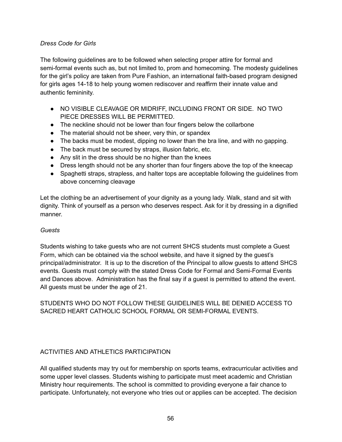### *Dress Code for Girls*

The following guidelines are to be followed when selecting proper attire for formal and semi-formal events such as, but not limited to, prom and homecoming. The modesty guidelines for the girl's policy are taken from Pure Fashion, an international faith-based program designed for girls ages 14-18 to help young women rediscover and reaffirm their innate value and authentic femininity.

- NO VISIBLE CLEAVAGE OR MIDRIFF, INCLUDING FRONT OR SIDE. NO TWO PIECE DRESSES WILL BE PERMITTED.
- The neckline should not be lower than four fingers below the collarbone
- The material should not be sheer, very thin, or spandex
- The backs must be modest, dipping no lower than the bra line, and with no gapping.
- The back must be secured by straps, illusion fabric, etc.
- Any slit in the dress should be no higher than the knees
- Dress length should not be any shorter than four fingers above the top of the kneecap
- Spaghetti straps, strapless, and halter tops are acceptable following the guidelines from above concerning cleavage

Let the clothing be an advertisement of your dignity as a young lady. Walk, stand and sit with dignity. Think of yourself as a person who deserves respect. Ask for it by dressing in a dignified manner.

#### *Guests*

Students wishing to take guests who are not current SHCS students must complete a Guest Form, which can be obtained via the school website, and have it signed by the guest's principal/administrator. It is up to the discretion of the Principal to allow guests to attend SHCS events. Guests must comply with the stated Dress Code for Formal and Semi-Formal Events and Dances above. Administration has the final say if a guest is permitted to attend the event. All guests must be under the age of 21.

STUDENTS WHO DO NOT FOLLOW THESE GUIDELINES WILL BE DENIED ACCESS TO SACRED HEART CATHOLIC SCHOOL FORMAL OR SEMI-FORMAL EVENTS.

### ACTIVITIES AND ATHLETICS PARTICIPATION

All qualified students may try out for membership on sports teams, extracurricular activities and some upper level classes. Students wishing to participate must meet academic and Christian Ministry hour requirements. The school is committed to providing everyone a fair chance to participate. Unfortunately, not everyone who tries out or applies can be accepted. The decision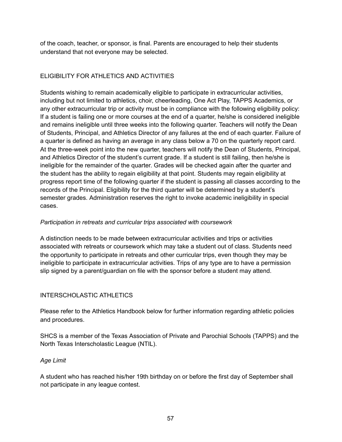of the coach, teacher, or sponsor, is final. Parents are encouraged to help their students understand that not everyone may be selected.

# ELIGIBILITY FOR ATHLETICS AND ACTIVITIES

Students wishing to remain academically eligible to participate in extracurricular activities, including but not limited to athletics, choir, cheerleading, One Act Play, TAPPS Academics, or any other extracurricular trip or activity must be in compliance with the following eligibility policy: If a student is failing one or more courses at the end of a quarter, he/she is considered ineligible and remains ineligible until three weeks into the following quarter. Teachers will notify the Dean of Students, Principal, and Athletics Director of any failures at the end of each quarter. Failure of a quarter is defined as having an average in any class below a 70 on the quarterly report card. At the three-week point into the new quarter, teachers will notify the Dean of Students, Principal, and Athletics Director of the student's current grade. If a student is still failing, then he/she is ineligible for the remainder of the quarter. Grades will be checked again after the quarter and the student has the ability to regain eligibility at that point. Students may regain eligibility at progress report time of the following quarter if the student is passing all classes according to the records of the Principal. Eligibility for the third quarter will be determined by a student's semester grades. Administration reserves the right to invoke academic ineligibility in special cases.

## *Participation in retreats and curricular trips associated with coursework*

A distinction needs to be made between extracurricular activities and trips or activities associated with retreats or coursework which may take a student out of class. Students need the opportunity to participate in retreats and other curricular trips, even though they may be ineligible to participate in extracurricular activities. Trips of any type are to have a permission slip signed by a parent/guardian on file with the sponsor before a student may attend.

### INTERSCHOLASTIC ATHLETICS

Please refer to the Athletics Handbook below for further information regarding athletic policies and procedures.

SHCS is a member of the Texas Association of Private and Parochial Schools (TAPPS) and the North Texas Interscholastic League (NTIL).

### *Age Limit*

A student who has reached his/her 19th birthday on or before the first day of September shall not participate in any league contest.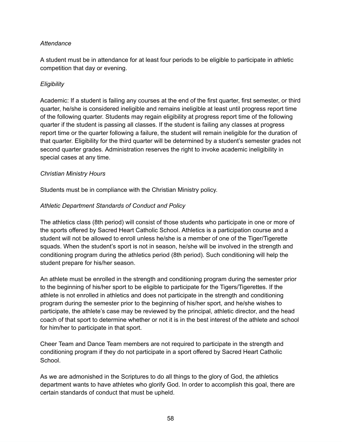#### *Attendance*

A student must be in attendance for at least four periods to be eligible to participate in athletic competition that day or evening.

#### *Eligibility*

Academic: If a student is failing any courses at the end of the first quarter, first semester, or third quarter, he/she is considered ineligible and remains ineligible at least until progress report time of the following quarter. Students may regain eligibility at progress report time of the following quarter if the student is passing all classes. If the student is failing any classes at progress report time or the quarter following a failure, the student will remain ineligible for the duration of that quarter. Eligibility for the third quarter will be determined by a student's semester grades not second quarter grades. Administration reserves the right to invoke academic ineligibility in special cases at any time.

#### *Christian Ministry Hours*

Students must be in compliance with the Christian Ministry policy.

### *Athletic Department Standards of Conduct and Policy*

The athletics class (8th period) will consist of those students who participate in one or more of the sports offered by Sacred Heart Catholic School. Athletics is a participation course and a student will not be allowed to enroll unless he/she is a member of one of the Tiger/Tigerette squads. When the student's sport is not in season, he/she will be involved in the strength and conditioning program during the athletics period (8th period). Such conditioning will help the student prepare for his/her season.

An athlete must be enrolled in the strength and conditioning program during the semester prior to the beginning of his/her sport to be eligible to participate for the Tigers/Tigerettes. If the athlete is not enrolled in athletics and does not participate in the strength and conditioning program during the semester prior to the beginning of his/her sport, and he/she wishes to participate, the athlete's case may be reviewed by the principal, athletic director, and the head coach of that sport to determine whether or not it is in the best interest of the athlete and school for him/her to participate in that sport.

Cheer Team and Dance Team members are not required to participate in the strength and conditioning program if they do not participate in a sport offered by Sacred Heart Catholic School.

As we are admonished in the Scriptures to do all things to the glory of God, the athletics department wants to have athletes who glorify God. In order to accomplish this goal, there are certain standards of conduct that must be upheld.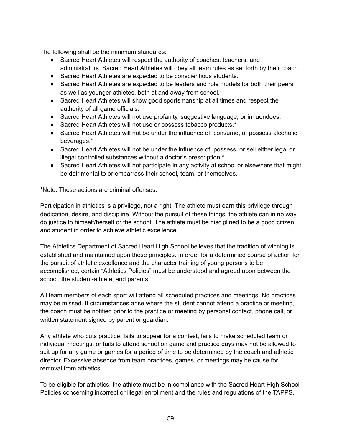The following shall be the minimum standards:

- Sacred Heart Athletes will respect the authority of coaches, teachers, and administrators. Sacred Heart Athletes will obey all team rules as set forth by their coach.
- Sacred Heart Athletes are expected to be conscientious students.
- Sacred Heart Athletes are expected to be leaders and role models for both their peers as well as younger athletes, both at and away from school.
- Sacred Heart Athletes will show good sportsmanship at all times and respect the authority of all game officials.
- Sacred Heart Athletes will not use profanity, suggestive language, or innuendoes.
- Sacred Heart Athletes will not use or possess tobacco products.\*
- Sacred Heart Athletes will not be under the influence of, consume, or possess alcoholic beverages.\*
- Sacred Heart Athletes will not be under the influence of, possess, or sell either legal or illegal controlled substances without a doctor's prescription.\*
- Sacred Heart Athletes will not participate in any activity at school or elsewhere that might be detrimental to or embarrass their school, team, or themselves.

\*Note: These actions are criminal offenses.

Participation in athletics is a privilege, not a right. The athlete must earn this privilege through dedication, desire, and discipline. Without the pursuit of these things, the athlete can in no way do justice to himself/herself or the school. The athlete must be disciplined to be a good citizen and student in order to achieve athletic excellence.

The Athletics Department of Sacred Heart High School believes that the tradition of winning is established and maintained upon these principles. In order for a determined course of action for the pursuit of athletic excellence and the character training of young persons to be accomplished, certain "Athletics Policies" must be understood and agreed upon between the school, the student-athlete, and parents.

All team members of each sport will attend all scheduled practices and meetings. No practices may be missed. If circumstances arise where the student cannot attend a practice or meeting, the coach must be notified prior to the practice or meeting by personal contact, phone call, or written statement signed by parent or guardian.

Any athlete who cuts practice, fails to appear for a contest, fails to make scheduled team or individual meetings, or fails to attend school on game and practice days may not be allowed to suit up for any game or games for a period of time to be determined by the coach and athletic director. Excessive absence from team practices, games, or meetings may be cause for removal from athletics.

To be eligible for athletics, the athlete must be in compliance with the Sacred Heart High School Policies concerning incorrect or illegal enrollment and the rules and regulations of the TAPPS.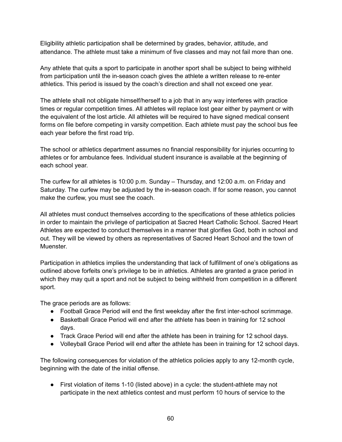Eligibility athletic participation shall be determined by grades, behavior, attitude, and attendance. The athlete must take a minimum of five classes and may not fail more than one.

Any athlete that quits a sport to participate in another sport shall be subject to being withheld from participation until the in-season coach gives the athlete a written release to re-enter athletics. This period is issued by the coach's direction and shall not exceed one year.

The athlete shall not obligate himself/herself to a job that in any way interferes with practice times or regular competition times. All athletes will replace lost gear either by payment or with the equivalent of the lost article. All athletes will be required to have signed medical consent forms on file before competing in varsity competition. Each athlete must pay the school bus fee each year before the first road trip.

The school or athletics department assumes no financial responsibility for injuries occurring to athletes or for ambulance fees. Individual student insurance is available at the beginning of each school year.

The curfew for all athletes is 10:00 p.m. Sunday – Thursday, and 12:00 a.m. on Friday and Saturday. The curfew may be adjusted by the in-season coach. If for some reason, you cannot make the curfew, you must see the coach.

All athletes must conduct themselves according to the specifications of these athletics policies in order to maintain the privilege of participation at Sacred Heart Catholic School. Sacred Heart Athletes are expected to conduct themselves in a manner that glorifies God, both in school and out. They will be viewed by others as representatives of Sacred Heart School and the town of Muenster.

Participation in athletics implies the understanding that lack of fulfillment of one's obligations as outlined above forfeits one's privilege to be in athletics. Athletes are granted a grace period in which they may quit a sport and not be subject to being withheld from competition in a different sport.

The grace periods are as follows:

- Football Grace Period will end the first weekday after the first inter-school scrimmage.
- Basketball Grace Period will end after the athlete has been in training for 12 school days.
- Track Grace Period will end after the athlete has been in training for 12 school days.
- Volleyball Grace Period will end after the athlete has been in training for 12 school days.

The following consequences for violation of the athletics policies apply to any 12-month cycle, beginning with the date of the initial offense.

● First violation of items 1-10 (listed above) in a cycle: the student-athlete may not participate in the next athletics contest and must perform 10 hours of service to the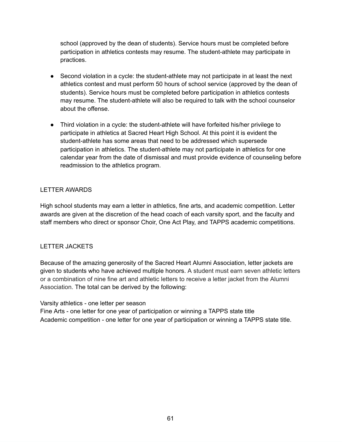school (approved by the dean of students). Service hours must be completed before participation in athletics contests may resume. The student-athlete may participate in practices.

- Second violation in a cycle: the student-athlete may not participate in at least the next athletics contest and must perform 50 hours of school service (approved by the dean of students). Service hours must be completed before participation in athletics contests may resume. The student-athlete will also be required to talk with the school counselor about the offense.
- Third violation in a cycle: the student-athlete will have forfeited his/her privilege to participate in athletics at Sacred Heart High School. At this point it is evident the student-athlete has some areas that need to be addressed which supersede participation in athletics. The student-athlete may not participate in athletics for one calendar year from the date of dismissal and must provide evidence of counseling before readmission to the athletics program.

# LETTER AWARDS

High school students may earn a letter in athletics, fine arts, and academic competition. Letter awards are given at the discretion of the head coach of each varsity sport, and the faculty and staff members who direct or sponsor Choir, One Act Play, and TAPPS academic competitions.

### LETTER JACKETS

Because of the amazing generosity of the Sacred Heart Alumni Association, letter jackets are given to students who have achieved multiple honors. A student must earn seven athletic letters or a combination of nine fine art and athletic letters to receive a letter jacket from the Alumni Association. The total can be derived by the following:

Varsity athletics - one letter per season

Fine Arts - one letter for one year of participation or winning a TAPPS state title Academic competition - one letter for one year of participation or winning a TAPPS state title.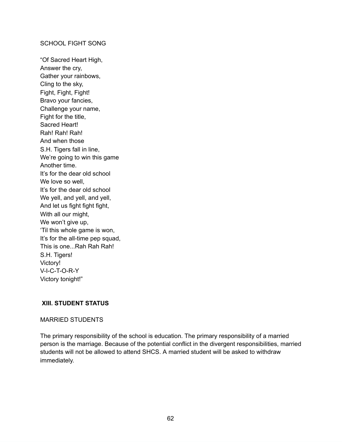#### SCHOOL FIGHT SONG

"Of Sacred Heart High, Answer the cry, Gather your rainbows, Cling to the sky, Fight, Fight, Fight! Bravo your fancies, Challenge your name, Fight for the title, Sacred Heart! Rah! Rah! Rah! And when those S.H. Tigers fall in line, We're going to win this game Another time. It's for the dear old school We love so well. It's for the dear old school We yell, and yell, and yell, And let us fight fight fight, With all our might, We won't give up, 'Til this whole game is won, It's for the all-time pep squad, This is one...Rah Rah Rah! S.H. Tigers! Victory! V-I-C-T-O-R-Y Victory tonight!"

#### **XIII. STUDENT STATUS**

#### MARRIED STUDENTS

The primary responsibility of the school is education. The primary responsibility of a married person is the marriage. Because of the potential conflict in the divergent responsibilities, married students will not be allowed to attend SHCS. A married student will be asked to withdraw immediately.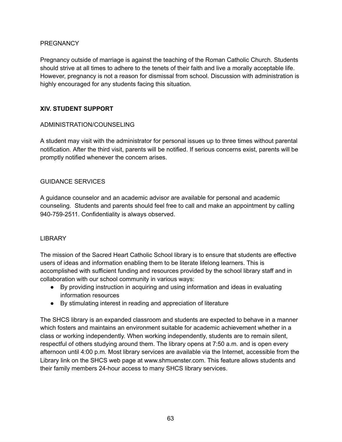#### **PREGNANCY**

Pregnancy outside of marriage is against the teaching of the Roman Catholic Church. Students should strive at all times to adhere to the tenets of their faith and live a morally acceptable life. However, pregnancy is not a reason for dismissal from school. Discussion with administration is highly encouraged for any students facing this situation.

### **XIV. STUDENT SUPPORT**

#### ADMINISTRATION/COUNSELING

A student may visit with the administrator for personal issues up to three times without parental notification. After the third visit, parents will be notified. If serious concerns exist, parents will be promptly notified whenever the concern arises.

#### GUIDANCE SERVICES

A guidance counselor and an academic advisor are available for personal and academic counseling. Students and parents should feel free to call and make an appointment by calling 940-759-2511. Confidentiality is always observed.

#### LIBRARY

The mission of the Sacred Heart Catholic School library is to ensure that students are effective users of ideas and information enabling them to be literate lifelong learners. This is accomplished with sufficient funding and resources provided by the school library staff and in collaboration with our school community in various ways:

- By providing instruction in acquiring and using information and ideas in evaluating information resources
- By stimulating interest in reading and appreciation of literature

The SHCS library is an expanded classroom and students are expected to behave in a manner which fosters and maintains an environment suitable for academic achievement whether in a class or working independently. When working independently, students are to remain silent, respectful of others studying around them. The library opens at 7:50 a.m. and is open every afternoon until 4:00 p.m. Most library services are available via the Internet, accessible from the Library link on the SHCS web page at www.shmuenster.com. This feature allows students and their family members 24-hour access to many SHCS library services.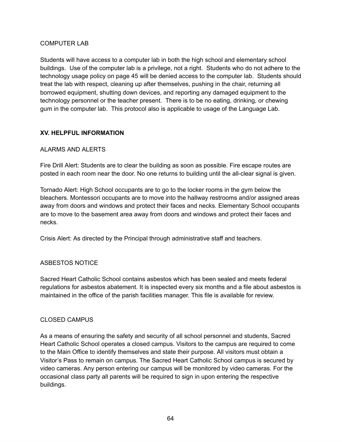#### COMPUTER LAB

Students will have access to a computer lab in both the high school and elementary school buildings. Use of the computer lab is a privilege, not a right. Students who do not adhere to the technology usage policy on page 45 will be denied access to the computer lab. Students should treat the lab with respect, cleaning up after themselves, pushing in the chair, returning all borrowed equipment, shutting down devices, and reporting any damaged equipment to the technology personnel or the teacher present. There is to be no eating, drinking, or chewing gum in the computer lab. This protocol also is applicable to usage of the Language Lab.

#### **XV. HELPFUL INFORMATION**

#### ALARMS AND ALERTS

Fire Drill Alert: Students are to clear the building as soon as possible. Fire escape routes are posted in each room near the door. No one returns to building until the all-clear signal is given.

Tornado Alert: High School occupants are to go to the locker rooms in the gym below the bleachers. Montessori occupants are to move into the hallway restrooms and/or assigned areas away from doors and windows and protect their faces and necks. Elementary School occupants are to move to the basement area away from doors and windows and protect their faces and necks.

Crisis Alert: As directed by the Principal through administrative staff and teachers.

### ASBESTOS NOTICE

Sacred Heart Catholic School contains asbestos which has been sealed and meets federal regulations for asbestos abatement. It is inspected every six months and a file about asbestos is maintained in the office of the parish facilities manager. This file is available for review.

#### CLOSED CAMPUS

As a means of ensuring the safety and security of all school personnel and students, Sacred Heart Catholic School operates a closed campus. Visitors to the campus are required to come to the Main Office to identify themselves and state their purpose. All visitors must obtain a Visitor's Pass to remain on campus. The Sacred Heart Catholic School campus is secured by video cameras. Any person entering our campus will be monitored by video cameras. For the occasional class party all parents will be required to sign in upon entering the respective buildings.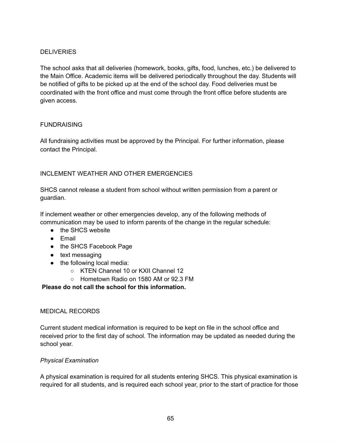### **DELIVERIES**

The school asks that all deliveries (homework, books, gifts, food, lunches, etc.) be delivered to the Main Office. Academic items will be delivered periodically throughout the day. Students will be notified of gifts to be picked up at the end of the school day. Food deliveries must be coordinated with the front office and must come through the front office before students are given access.

#### FUNDRAISING

All fundraising activities must be approved by the Principal. For further information, please contact the Principal.

### INCLEMENT WEATHER AND OTHER EMERGENCIES

SHCS cannot release a student from school without written permission from a parent or guardian.

If inclement weather or other emergencies develop, any of the following methods of communication may be used to inform parents of the change in the regular schedule:

- the SHCS website
- Email
- the SHCS Facebook Page
- text messaging
- the following local media:
	- KTEN Channel 10 or KXII Channel 12
	- Hometown Radio on 1580 AM or 92.3 FM

**Please do not call the school for this information.**

#### MEDICAL RECORDS

Current student medical information is required to be kept on file in the school office and received prior to the first day of school. The information may be updated as needed during the school year.

### *Physical Examination*

A physical examination is required for all students entering SHCS. This physical examination is required for all students, and is required each school year, prior to the start of practice for those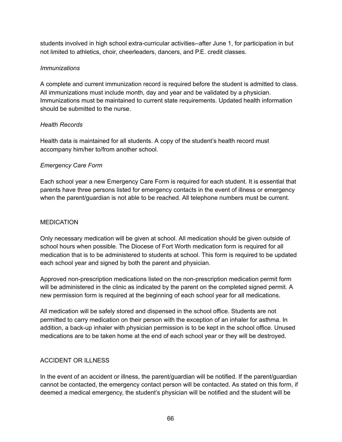students involved in high school extra-curricular activities--after June 1, for participation in but not limited to athletics, choir, cheerleaders, dancers, and P.E. credit classes.

## *Immunizations*

A complete and current immunization record is required before the student is admitted to class. All immunizations must include month, day and year and be validated by a physician. Immunizations must be maintained to current state requirements. Updated health information should be submitted to the nurse.

### *Health Records*

Health data is maintained for all students. A copy of the student's health record must accompany him/her to/from another school.

# *Emergency Care Form*

Each school year a new Emergency Care Form is required for each student. It is essential that parents have three persons listed for emergency contacts in the event of illness or emergency when the parent/guardian is not able to be reached. All telephone numbers must be current.

## MEDICATION

Only necessary medication will be given at school. All medication should be given outside of school hours when possible. The Diocese of Fort Worth medication form is required for all medication that is to be administered to students at school. This form is required to be updated each school year and signed by both the parent and physician.

Approved non-prescription medications listed on the non-prescription medication permit form will be administered in the clinic as indicated by the parent on the completed signed permit. A new permission form is required at the beginning of each school year for all medications.

All medication will be safely stored and dispensed in the school office. Students are not permitted to carry medication on their person with the exception of an inhaler for asthma. In addition, a back-up inhaler with physician permission is to be kept in the school office. Unused medications are to be taken home at the end of each school year or they will be destroyed.

# ACCIDENT OR ILLNESS

In the event of an accident or illness, the parent/guardian will be notified. If the parent/guardian cannot be contacted, the emergency contact person will be contacted. As stated on this form, if deemed a medical emergency, the student's physician will be notified and the student will be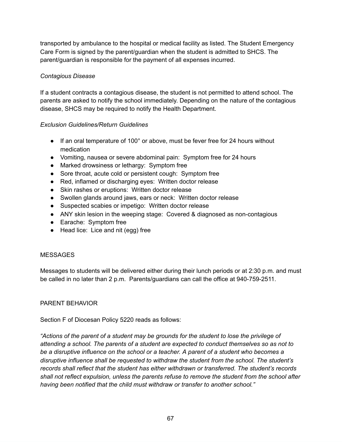transported by ambulance to the hospital or medical facility as listed. The Student Emergency Care Form is signed by the parent/guardian when the student is admitted to SHCS. The parent/guardian is responsible for the payment of all expenses incurred.

### *Contagious Disease*

If a student contracts a contagious disease, the student is not permitted to attend school. The parents are asked to notify the school immediately. Depending on the nature of the contagious disease, SHCS may be required to notify the Health Department.

# *Exclusion Guidelines/Return Guidelines*

- If an oral temperature of 100° or above, must be fever free for 24 hours without medication
- Vomiting, nausea or severe abdominal pain: Symptom free for 24 hours
- Marked drowsiness or lethargy: Symptom free
- Sore throat, acute cold or persistent cough: Symptom free
- Red, inflamed or discharging eyes: Written doctor release
- Skin rashes or eruptions: Written doctor release
- Swollen glands around jaws, ears or neck: Written doctor release
- Suspected scabies or impetigo: Written doctor release
- ANY skin lesion in the weeping stage: Covered & diagnosed as non-contagious
- Earache: Symptom free
- Head lice: Lice and nit (egg) free

### MESSAGES

Messages to students will be delivered either during their lunch periods or at 2:30 p.m. and must be called in no later than 2 p.m. Parents/guardians can call the office at 940-759-2511.

### PARENT BEHAVIOR

Section F of Diocesan Policy 5220 reads as follows:

*"Actions of the parent of a student may be grounds for the student to lose the privilege of attending a school. The parents of a student are expected to conduct themselves so as not to be a disruptive influence on the school or a teacher. A parent of a student who becomes a disruptive influence shall be requested to withdraw the student from the school. The student's records shall reflect that the student has either withdrawn or transferred. The student's records shall not reflect expulsion, unless the parents refuse to remove the student from the school after having been notified that the child must withdraw or transfer to another school."*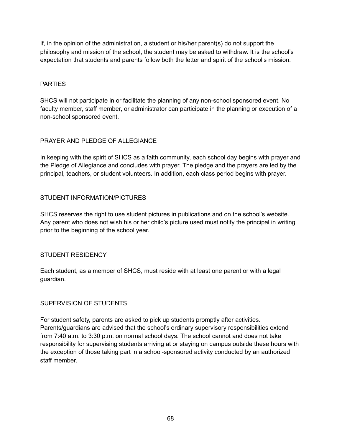If, in the opinion of the administration, a student or his/her parent(s) do not support the philosophy and mission of the school, the student may be asked to withdraw. It is the school's expectation that students and parents follow both the letter and spirit of the school's mission.

### PARTIES

SHCS will not participate in or facilitate the planning of any non-school sponsored event. No faculty member, staff member, or administrator can participate in the planning or execution of a non-school sponsored event.

# PRAYER AND PLEDGE OF ALLEGIANCE

In keeping with the spirit of SHCS as a faith community, each school day begins with prayer and the Pledge of Allegiance and concludes with prayer. The pledge and the prayers are led by the principal, teachers, or student volunteers. In addition, each class period begins with prayer.

# STUDENT INFORMATION/PICTURES

SHCS reserves the right to use student pictures in publications and on the school's website. Any parent who does not wish his or her child's picture used must notify the principal in writing prior to the beginning of the school year.

### STUDENT RESIDENCY

Each student, as a member of SHCS, must reside with at least one parent or with a legal guardian.

### SUPERVISION OF STUDENTS

For student safety, parents are asked to pick up students promptly after activities. Parents/guardians are advised that the school's ordinary supervisory responsibilities extend from 7:40 a.m. to 3:30 p.m. on normal school days. The school cannot and does not take responsibility for supervising students arriving at or staying on campus outside these hours with the exception of those taking part in a school-sponsored activity conducted by an authorized staff member.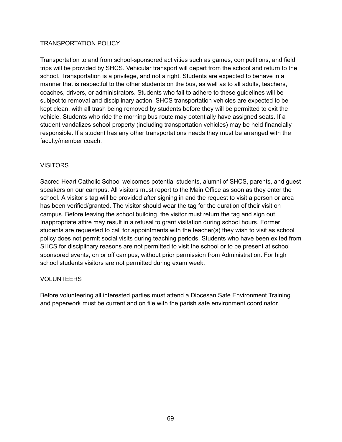#### TRANSPORTATION POLICY

Transportation to and from school-sponsored activities such as games, competitions, and field trips will be provided by SHCS. Vehicular transport will depart from the school and return to the school. Transportation is a privilege, and not a right. Students are expected to behave in a manner that is respectful to the other students on the bus, as well as to all adults, teachers, coaches, drivers, or administrators. Students who fail to adhere to these guidelines will be subject to removal and disciplinary action. SHCS transportation vehicles are expected to be kept clean, with all trash being removed by students before they will be permitted to exit the vehicle. Students who ride the morning bus route may potentially have assigned seats. If a student vandalizes school property (including transportation vehicles) may be held financially responsible. If a student has any other transportations needs they must be arranged with the faculty/member coach.

#### VISITORS

Sacred Heart Catholic School welcomes potential students, alumni of SHCS, parents, and guest speakers on our campus. All visitors must report to the Main Office as soon as they enter the school. A visitor's tag will be provided after signing in and the request to visit a person or area has been verified/granted. The visitor should wear the tag for the duration of their visit on campus. Before leaving the school building, the visitor must return the tag and sign out. Inappropriate attire may result in a refusal to grant visitation during school hours. Former students are requested to call for appointments with the teacher(s) they wish to visit as school policy does not permit social visits during teaching periods. Students who have been exited from SHCS for disciplinary reasons are not permitted to visit the school or to be present at school sponsored events, on or off campus, without prior permission from Administration. For high school students visitors are not permitted during exam week.

#### VOLUNTEERS

Before volunteering all interested parties must attend a Diocesan Safe Environment Training and paperwork must be current and on file with the parish safe environment coordinator.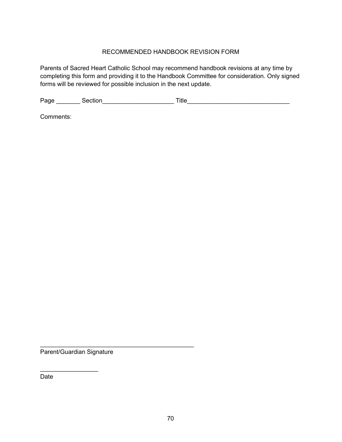## RECOMMENDED HANDBOOK REVISION FORM

Parents of Sacred Heart Catholic School may recommend handbook revisions at any time by completing this form and providing it to the Handbook Committee for consideration. Only signed forms will be reviewed for possible inclusion in the next update.

Page \_\_\_\_\_\_\_ Section\_\_\_\_\_\_\_\_\_\_\_\_\_\_\_\_\_\_\_\_\_ Title\_\_\_\_\_\_\_\_\_\_\_\_\_\_\_\_\_\_\_\_\_\_\_\_\_\_\_\_\_\_

Comments:

Parent/Guardian Signature

 $\mathcal{L}_\text{max}$  , where  $\mathcal{L}_\text{max}$ 

 $\mathcal{L}_\text{max}$  , which is a set of the set of the set of the set of the set of the set of the set of the set of the set of the set of the set of the set of the set of the set of the set of the set of the set of the set of

Date